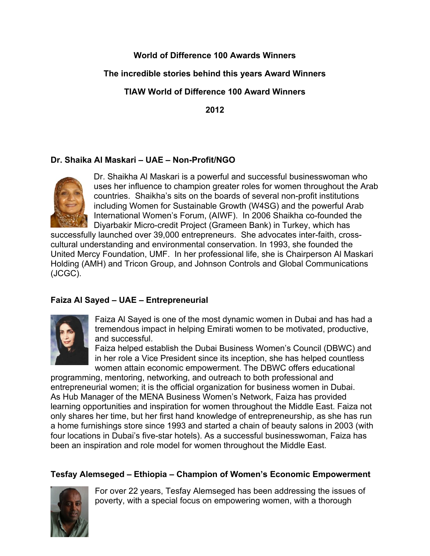# **World of Difference 100 Awards Winners**

# **The incredible stories behind this years Award Winners**

# **TIAW World of Difference 100 Award Winners**

**2012**

# **Dr. Shaika Al Maskari – UAE – Non-Profit/NGO**



Dr. Shaikha Al Maskari is a powerful and successful businesswoman who uses her influence to champion greater roles for women throughout the Arab countries. Shaikha's sits on the boards of several non-profit institutions including Women for Sustainable Growth (W4SG) and the powerful Arab International Women's Forum, (AIWF). In 2006 Shaikha co-founded the Diyarbakir Micro-credit Project (Grameen Bank) in Turkey, which has

successfully launched over 39,000 entrepreneurs. She advocates inter-faith, crosscultural understanding and environmental conservation. In 1993, she founded the United Mercy Foundation, UMF. In her professional life, she is Chairperson Al Maskari Holding (AMH) and Tricon Group, and Johnson Controls and Global Communications (JCGC).

# **Faiza Al Sayed – UAE – Entrepreneurial**



Faiza Al Sayed is one of the most dynamic women in Dubai and has had a tremendous impact in helping Emirati women to be motivated, productive, and successful.

Faiza helped establish the Dubai Business Women's Council (DBWC) and in her role a Vice President since its inception, she has helped countless women attain economic empowerment. The DBWC offers educational

programming, mentoring, networking, and outreach to both professional and entrepreneurial women; it is the official organization for business women in Dubai. As Hub Manager of the MENA Business Women's Network, Faiza has provided learning opportunities and inspiration for women throughout the Middle East. Faiza not only shares her time, but her first hand knowledge of entrepreneurship, as she has run a home furnishings store since 1993 and started a chain of beauty salons in 2003 (with four locations in Dubai's five-star hotels). As a successful businesswoman, Faiza has been an inspiration and role model for women throughout the Middle East.

# **Tesfay Alemseged – Ethiopia – Champion of Women's Economic Empowerment**



For over 22 years, Tesfay Alemseged has been addressing the issues of poverty, with a special focus on empowering women, with a thorough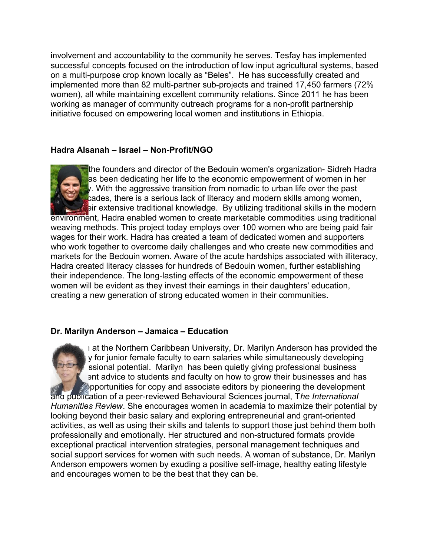involvement and accountability to the community he serves. Tesfay has implemented successful concepts focused on the introduction of low input agricultural systems, based on a multi-purpose crop known locally as "Beles". He has successfully created and implemented more than 82 multi-partner sub-projects and trained 17,450 farmers (72% women), all while maintaining excellent community relations. Since 2011 he has been working as manager of community outreach programs for a non-profit partnership initiative focused on empowering local women and institutions in Ethiopia.

## **Hadra Alsanah – Israel – Non-Profit/NGO**



the founders and director of the Bedouin women's organization- Sidreh Hadra Alsas been dedicating her life to the economic empowerment of women in her **Community. With the aggressive transition from nomadic to urban life over the past**  $\frac{1}{2}$ cades, there is a serious lack of literacy and modern skills among women,  $\Box$  eir extensive traditional knowledge. By utilizing traditional skills in the modern

environment, Hadra enabled women to create marketable commodities using traditional weaving methods. This project today employs over 100 women who are being paid fair wages for their work. Hadra has created a team of dedicated women and supporters who work together to overcome daily challenges and who create new commodities and markets for the Bedouin women. Aware of the acute hardships associated with illiteracy, Hadra created literacy classes for hundreds of Bedouin women, further establishing their independence. The long-lasting effects of the economic empowerment of these women will be evident as they invest their earnings in their daughters' education, creating a new generation of strong educated women in their communities.

### **Dr. Marilyn Anderson – Jamaica – Education**



 $\overline{\phantom{a}}$  at the Northern Caribbean University, Dr. Marilyn Anderson has provided the y for junior female faculty to earn salaries while simultaneously developing ssional potential. Marilyn has been quietly giving professional business ent advice to students and faculty on how to grow their businesses and has pportunities for copy and associate editors by pioneering the development and publication of a peer-reviewed Behavioural Sciences journal, T*he International Humanities Review*. She encourages women in academia to maximize their potential by looking beyond their basic salary and exploring entrepreneurial and grant-oriented

activities, as well as using their skills and talents to support those just behind them both professionally and emotionally. Her structured and non-structured formats provide exceptional practical intervention strategies, personal management techniques and social support services for women with such needs. A woman of substance, Dr. Marilyn Anderson empowers women by exuding a positive self-image, healthy eating lifestyle and encourages women to be the best that they can be.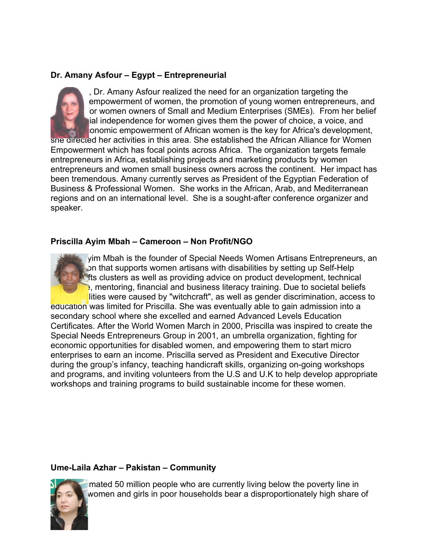## **Dr. Amany Asfour – Egypt – Entrepreneurial**



, Dr. Amany Asfour realized the need for an organization targeting the empowerment of women, the promotion of young women entrepreneurs, and or women owners of Small and Medium Enterprises (SMEs). From her belief ial independence for women gives them the power of choice, a voice, and onomic empowerment of African women is the key for Africa's development,

she directed her activities in this area. She established the African Alliance for Women Empowerment which has focal points across Africa. The organization targets female entrepreneurs in Africa, establishing projects and marketing products by women entrepreneurs and women small business owners across the continent. Her impact has been tremendous. Amany currently serves as President of the Egyptian Federation of Business & Professional Women. She works in the African, Arab, and Mediterranean regions and on an international level. She is a sought-after conference organizer and speaker.

### **Priscilla Ayim Mbah – Cameroon – Non Profit/NGO**

yim Mbah is the founder of Special Needs Women Artisans Entrepreneurs, an on that supports women artisans with disabilities by setting up Self-Help fts clusters as well as providing advice on product development, technical  $\epsilon$ , mentoring, financial and business literacy training. Due to societal beliefs lities were caused by "witchcraft", as well as gender discrimination, access to

education was limited for Priscilla. She was eventually able to gain admission into a secondary school where she excelled and earned Advanced Levels Education Certificates. After the World Women March in 2000, Priscilla was inspired to create the Special Needs Entrepreneurs Group in 2001, an umbrella organization, fighting for economic opportunities for disabled women, and empowering them to start micro enterprises to earn an income. Priscilla served as President and Executive Director during the group's infancy, teaching handicraft skills, organizing on-going workshops and programs, and inviting volunteers from the U.S and U.K to help develop appropriate workshops and training programs to build sustainable income for these women.

### **Ume-Laila Azhar – Pakistan – Community**



mated 50 million people who are currently living below the poverty line in women and girls in poor households bear a disproportionately high share of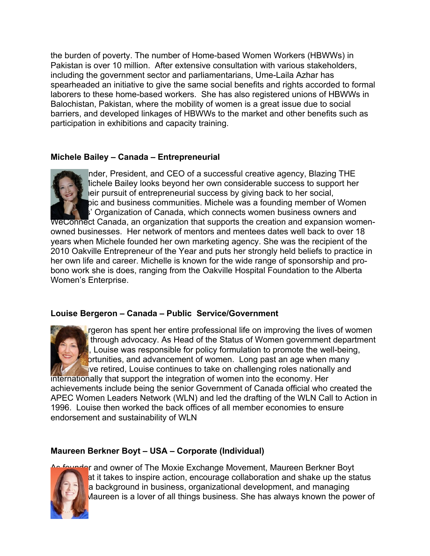the burden of poverty. The number of Home-based Women Workers (HBWWs) in Pakistan is over 10 million. After extensive consultation with various stakeholders, including the government sector and parliamentarians, Ume-Laila Azhar has spearheaded an initiative to give the same social benefits and rights accorded to formal laborers to these home-based workers. She has also registered unions of HBWWs in Balochistan, Pakistan, where the mobility of women is a great issue due to social barriers, and developed linkages of HBWWs to the market and other benefits such as participation in exhibitions and capacity training.

## **Michele Bailey – Canada – Entrepreneurial**



nder, President, and CEO of a successful creative agency, Blazing THE lichele Bailey looks beyond her own considerable success to support her  $\epsilon$  eir pursuit of entrepreneurial success by giving back to her social, pic and business communities. Michele was a founding member of Women If Organization of Canada, which connects women business owners and

WeConnect Canada, an organization that supports the creation and expansion womenowned businesses. Her network of mentors and mentees dates well back to over 18 years when Michele founded her own marketing agency. She was the recipient of the 2010 Oakville Entrepreneur of the Year and puts her strongly held beliefs to practice in her own life and career. Michelle is known for the wide range of sponsorship and probono work she is does, ranging from the Oakville Hospital Foundation to the Alberta Women's Enterprise.

### **Louise Bergeron – Canada – Public Service/Government**



rgeron has spent her entire professional life on improving the lives of women through advocacy. As Head of the Status of Women government department , Louise was responsible for policy formulation to promote the well-being,  $\overline{\mathsf{b}}$ rtunities, and advancement of women. Long past an age when many  $\Box$  ve retired, Louise continues to take on challenging roles nationally and

internationally that support the integration of women into the economy. Her achievements include being the senior Government of Canada official who created the APEC Women Leaders Network (WLN) and led the drafting of the WLN Call to Action in 1996. Louise then worked the back offices of all member economies to ensure endorsement and sustainability of WLN

# **Maureen Berkner Boyt – USA – Corporate (Individual)**



**Prand owner of The Moxie Exchange Movement, Maureen Berkner Boyt** at it takes to inspire action, encourage collaboration and shake up the status a background in business, organizational development, and managing  $M$ aureen is a lover of all things business. She has always known the power of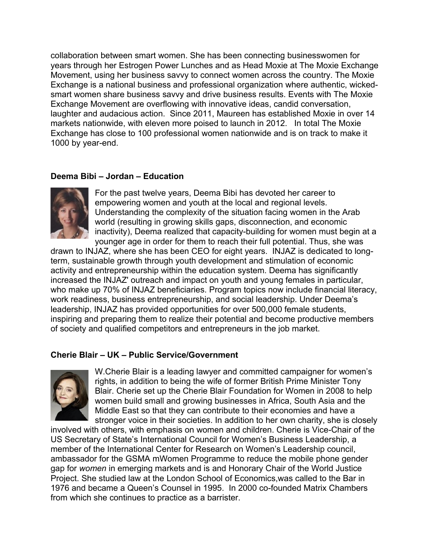collaboration between smart women. She has been connecting businesswomen for years through her Estrogen Power Lunches and as Head Moxie at The Moxie Exchange Movement, using her business savvy to connect women across the country. The Moxie Exchange is a national business and professional organization where authentic, wickedsmart women share business savvy and drive business results. Events with The Moxie Exchange Movement are overflowing with innovative ideas, candid conversation, laughter and audacious action. Since 2011, Maureen has established Moxie in over 14 markets nationwide, with eleven more poised to launch in 2012. In total The Moxie Exchange has close to 100 professional women nationwide and is on track to make it 1000 by year-end.

## **Deema Bibi – Jordan – Education**



For the past twelve years, Deema Bibi has devoted her career to empowering women and youth at the local and regional levels. Understanding the complexity of the situation facing women in the Arab world (resulting in growing skills gaps, disconnection, and economic inactivity), Deema realized that capacity-building for women must begin at a younger age in order for them to reach their full potential. Thus, she was

drawn to INJAZ, where she has been CEO for eight years. INJAZ is dedicated to longterm, sustainable growth through youth development and stimulation of economic activity and entrepreneurship within the education system. Deema has significantly increased the INJAZ' outreach and impact on youth and young females in particular, who make up 70% of INJAZ beneficiaries. Program topics now include financial literacy, work readiness, business entrepreneurship, and social leadership. Under Deema's leadership, INJAZ has provided opportunities for over 500,000 female students, inspiring and preparing them to realize their potential and become productive members of society and qualified competitors and entrepreneurs in the job market.

### **Cherie Blair – UK – Public Service/Government**



W.Cherie Blair is a leading lawyer and committed campaigner for women's rights, in addition to being the wife of former British Prime Minister Tony Blair. Cherie set up the Cherie Blair Foundation for Women in 2008 to help women build small and growing businesses in Africa, South Asia and the Middle East so that they can contribute to their economies and have a stronger voice in their societies. In addition to her own charity, she is closely

involved with others, with emphasis on women and children. Cherie is Vice-Chair of the US Secretary of State's International Council for Women's Business Leadership, a member of the International Center for Research on Women's Leadership council, ambassador for the GSMA mWomen Programme to reduce the mobile phone gender gap for *women* in emerging markets and is and Honorary Chair of the World Justice Project. She studied law at the London School of Economics,was called to the Bar in 1976 and became a Queen's Counsel in 1995. In 2000 co-founded Matrix Chambers from which she continues to practice as a barrister.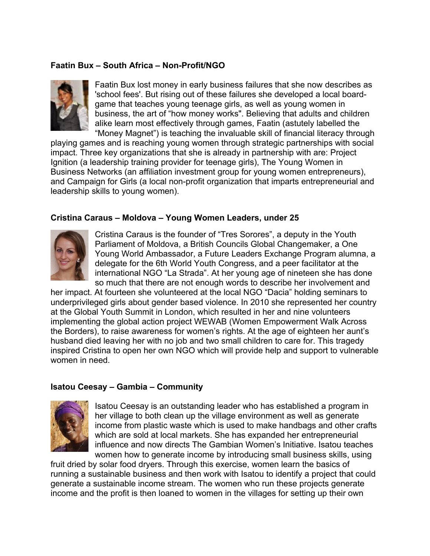## **Faatin Bux – South Africa – Non-Profit/NGO**



Faatin Bux lost money in early business failures that she now describes as 'school fees'. But rising out of these failures she developed a local boardgame that teaches young teenage girls, as well as young women in business, the art of "how money works". Believing that adults and children alike learn most effectively through games, Faatin (astutely labelled the "Money Magnet") is teaching the invaluable skill of financial literacy through

playing games and is reaching young women through strategic partnerships with social impact. Three key organizations that she is already in partnership with are: Project Ignition (a leadership training provider for teenage girls), The Young Women in Business Networks (an affiliation investment group for young women entrepreneurs), and Campaign for Girls (a local non-profit organization that imparts entrepreneurial and leadership skills to young women).

#### **Cristina Caraus – Moldova – Young Women Leaders, under 25**



Cristina Caraus is the founder of "Tres Sorores", a deputy in the Youth Parliament of Moldova, a British Councils Global Changemaker, a One Young World Ambassador, a Future Leaders Exchange Program alumna, a delegate for the 6th World Youth Congress, and a peer facilitator at the international NGO "La Strada". At her young age of nineteen she has done so much that there are not enough words to describe her involvement and

her impact. At fourteen she volunteered at the local NGO "Dacia" holding seminars to underprivileged girls about gender based violence. In 2010 she represented her country at the Global Youth Summit in London, which resulted in her and nine volunteers implementing the global action project WEWAB (Women Empowerment Walk Across the Borders), to raise awareness for women's rights. At the age of eighteen her aunt's husband died leaving her with no job and two small children to care for. This tragedy inspired Cristina to open her own NGO which will provide help and support to vulnerable women in need.

#### **Isatou Ceesay – Gambia – Community**



Isatou Ceesay is an outstanding leader who has established a program in her village to both clean up the village environment as well as generate income from plastic waste which is used to make handbags and other crafts which are sold at local markets. She has expanded her entrepreneurial influence and now directs The Gambian Women's Initiative. Isatou teaches women how to generate income by introducing small business skills, using

fruit dried by solar food dryers. Through this exercise, women learn the basics of running a sustainable business and then work with Isatou to identify a project that could generate a sustainable income stream. The women who run these projects generate income and the profit is then loaned to women in the villages for setting up their own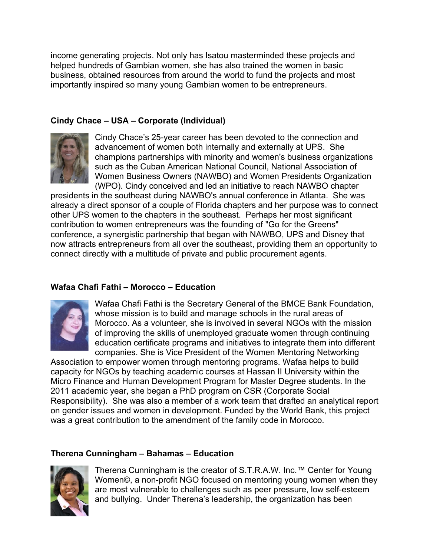income generating projects. Not only has Isatou masterminded these projects and helped hundreds of Gambian women, she has also trained the women in basic business, obtained resources from around the world to fund the projects and most importantly inspired so many young Gambian women to be entrepreneurs.

### **Cindy Chace – USA – Corporate (Individual)**



Cindy Chace's 25-year career has been devoted to the connection and advancement of women both internally and externally at UPS. She champions partnerships with minority and women's business organizations such as the Cuban American National Council, National Association of Women Business Owners (NAWBO) and Women Presidents Organization (WPO). Cindy conceived and led an initiative to reach NAWBO chapter

presidents in the southeast during NAWBO's annual conference in Atlanta. She was already a direct sponsor of a couple of Florida chapters and her purpose was to connect other UPS women to the chapters in the southeast. Perhaps her most significant contribution to women entrepreneurs was the founding of "Go for the Greens" conference, a synergistic partnership that began with NAWBO, UPS and Disney that now attracts entrepreneurs from all over the southeast, providing them an opportunity to connect directly with a multitude of private and public procurement agents.

### **Wafaa Chafi Fathi – Morocco – Education**



Wafaa Chafi Fathi is the Secretary General of the BMCE Bank Foundation, whose mission is to build and manage schools in the rural areas of Morocco. As a volunteer, she is involved in several NGOs with the mission of improving the skills of unemployed graduate women through continuing education certificate programs and initiatives to integrate them into different companies. She is Vice President of the Women Mentoring Networking

Association to empower women through mentoring programs. Wafaa helps to build capacity for NGOs by teaching academic courses at Hassan II University within the Micro Finance and Human Development Program for Master Degree students. In the 2011 academic year, she began a PhD program on CSR (Corporate Social Responsibility). She was also a member of a work team that drafted an analytical report on gender issues and women in development. Funded by the World Bank, this project was a great contribution to the amendment of the family code in Morocco.

# **Therena Cunningham – Bahamas – Education**



Therena Cunningham is the creator of S.T.R.A.W. Inc.™ Center for Young Women©, a non-profit NGO focused on mentoring young women when they are most vulnerable to challenges such as peer pressure, low self-esteem and bullying. Under Therena's leadership, the organization has been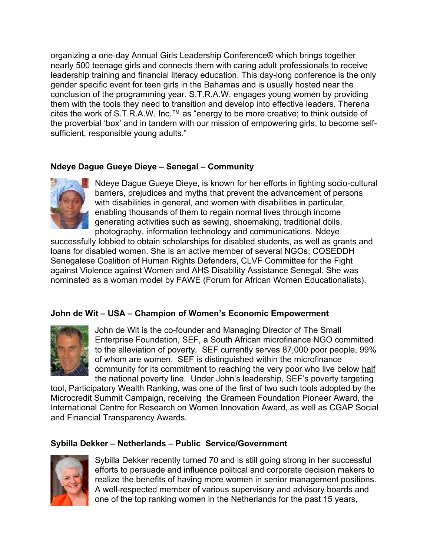organizing a one-day Annual Girls Leadership Conference® which brings together nearly 500 teenage girls and connects them with caring adult professionals to receive leadership training and financial literacy education. This day-long conference is the only gender specific event for teen girls in the Bahamas and is usually hosted near the conclusion of the programming year. S.T.R.A.W. engages young women by providing them with the tools they need to transition and develop into effective leaders. Therena cites the work of S.T.R.A.W. Inc.™ as "energy to be more creative; to think outside of the proverbial 'box' and in tandem with our mission of empowering girls, to become selfsufficient, responsible young adults."

# **Ndeye Dague Gueye Dieye – Senegal – Community**



Ndeye Dague Gueye Dieye, is known for her efforts in fighting socio-cultural barriers, prejudices and myths that prevent the advancement of persons with disabilities in general, and women with disabilities in particular, enabling thousands of them to regain normal lives through income generating activities such as sewing, shoemaking, traditional dolls, photography, information technology and communications. Ndeye

successfully lobbied to obtain scholarships for disabled students, as well as grants and loans for disabled women. She is an active member of several NGOs; COSEDDH Senegalese Coalition of Human Rights Defenders, CLVF Committee for the Fight against Violence against Women and AHS Disability Assistance Senegal. She was nominated as a woman model by FAWE (Forum for African Women Educationalists).

### **John de Wit – USA – Champion of Women's Economic Empowerment**



John de Wit is the co-founder and Managing Director of The Small Enterprise Foundation, SEF, a South African microfinance NGO committed to the alleviation of poverty. SEF currently serves 87,000 poor people, 99% of whom are women. SEF is distinguished within the microfinance community for its commitment to reaching the very poor who live below half the national poverty line. Under John's leadership, SEF's poverty targeting

tool, Participatory Wealth Ranking, was one of the first of two such tools adopted by the Microcredit Summit Campaign, receiving the Grameen Foundation Pioneer Award, the International Centre for Research on Women Innovation Award, as well as CGAP Social and Financial Transparency Awards.

### **Sybilla Dekker – Netherlands – Public Service/Government**



Sybilla Dekker recently turned 70 and is still going strong in her successful efforts to persuade and influence political and corporate decision makers to realize the benefits of having more women in senior management positions. A well-respected member of various supervisory and advisory boards and one of the top ranking women in the Netherlands for the past 15 years,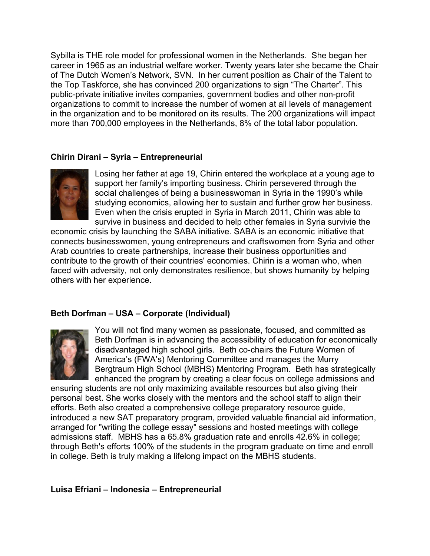Sybilla is THE role model for professional women in the Netherlands. She began her career in 1965 as an industrial welfare worker. Twenty years later she became the Chair of The Dutch Women's Network, SVN. In her current position as Chair of the Talent to the Top Taskforce, she has convinced 200 organizations to sign "The Charter". This public-private initiative invites companies, government bodies and other non-profit organizations to commit to increase the number of women at all levels of management in the organization and to be monitored on its results. The 200 organizations will impact more than 700,000 employees in the Netherlands, 8% of the total labor population.

### **Chirin Dirani – Syria – Entrepreneurial**



Losing her father at age 19, Chirin entered the workplace at a young age to support her family's importing business. Chirin persevered through the social challenges of being a businesswoman in Syria in the 1990's while studying economics, allowing her to sustain and further grow her business. Even when the crisis erupted in Syria in March 2011, Chirin was able to survive in business and decided to help other females in Syria survivie the

economic crisis by launching the SABA initiative. SABA is an economic initiative that connects businesswomen, young entrepreneurs and craftswomen from Syria and other Arab countries to create partnerships, increase their business opportunities and contribute to the growth of their countries' economies. Chirin is a woman who, when faced with adversity, not only demonstrates resilience, but shows humanity by helping others with her experience.

### **Beth Dorfman – USA – Corporate (Individual)**



You will not find many women as passionate, focused, and committed as Beth Dorfman is in advancing the accessibility of education for economically disadvantaged high school girls. Beth co-chairs the Future Women of America's (FWA's) Mentoring Committee and manages the Murry Bergtraum High School (MBHS) Mentoring Program. Beth has strategically enhanced the program by creating a clear focus on college admissions and

ensuring students are not only maximizing available resources but also giving their personal best. She works closely with the mentors and the school staff to align their efforts. Beth also created a comprehensive college preparatory resource guide, introduced a new SAT preparatory program, provided valuable financial aid information, arranged for "writing the college essay" sessions and hosted meetings with college admissions staff. MBHS has a 65.8% graduation rate and enrolls 42.6% in college; through Beth's efforts 100% of the students in the program graduate on time and enroll in college. Beth is truly making a lifelong impact on the MBHS students.

#### **Luisa Efriani – Indonesia – Entrepreneurial**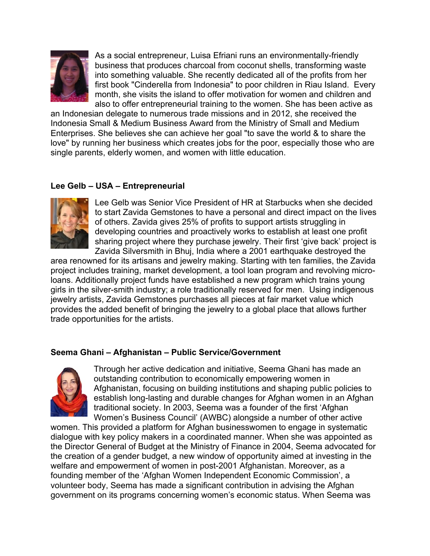

As a social entrepreneur, Luisa Efriani runs an environmentally-friendly business that produces charcoal from coconut shells, transforming waste into something valuable. She recently dedicated all of the profits from her first book "Cinderella from Indonesia" to poor children in Riau Island. Every month, she visits the island to offer motivation for women and children and also to offer entrepreneurial training to the women. She has been active as

an Indonesian delegate to numerous trade missions and in 2012, she received the Indonesia Small & Medium Business Award from the Ministry of Small and Medium Enterprises. She believes she can achieve her goal "to save the world & to share the love" by running her business which creates jobs for the poor, especially those who are single parents, elderly women, and women with little education.

### **Lee Gelb – USA – Entrepreneurial**



Lee Gelb was Senior Vice President of HR at Starbucks when she decided to start Zavida Gemstones to have a personal and direct impact on the lives of others. Zavida gives 25% of profits to support artists struggling in developing countries and proactively works to establish at least one profit sharing project where they purchase jewelry. Their first 'give back' project is Zavida Silversmith in Bhuj, India where a 2001 earthquake destroyed the

area renowned for its artisans and jewelry making. Starting with ten families, the Zavida project includes training, market development, a tool loan program and revolving microloans. Additionally project funds have established a new program which trains young girls in the silver-smith industry; a role traditionally reserved for men. Using indigenous jewelry artists, Zavida Gemstones purchases all pieces at fair market value which provides the added benefit of bringing the jewelry to a global place that allows further trade opportunities for the artists.

### **Seema Ghani – Afghanistan – Public Service/Government**



Through her active dedication and initiative, Seema Ghani has made an outstanding contribution to economically empowering women in Afghanistan, focusing on building institutions and shaping public policies to establish long-lasting and durable changes for Afghan women in an Afghan traditional society. In 2003, Seema was a founder of the first 'Afghan Women's Business Council' (AWBC) alongside a number of other active

women. This provided a platform for Afghan businesswomen to engage in systematic dialogue with key policy makers in a coordinated manner. When she was appointed as the Director General of Budget at the Ministry of Finance in 2004, Seema advocated for the creation of a gender budget, a new window of opportunity aimed at investing in the welfare and empowerment of women in post-2001 Afghanistan. Moreover, as a founding member of the 'Afghan Women Independent Economic Commission', a volunteer body, Seema has made a significant contribution in advising the Afghan government on its programs concerning women's economic status. When Seema was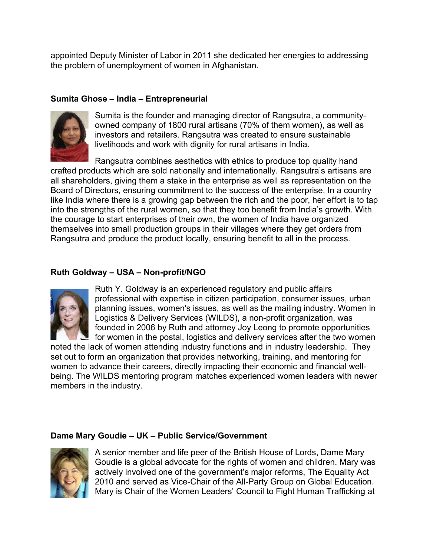appointed Deputy Minister of Labor in 2011 she dedicated her energies to addressing the problem of unemployment of women in Afghanistan.

# **Sumita Ghose – India – Entrepreneurial**



Sumita is the founder and managing director of Rangsutra, a communityowned company of 1800 rural artisans (70% of them women), as well as investors and retailers. Rangsutra was created to ensure sustainable livelihoods and work with dignity for rural artisans in India.

Rangsutra combines aesthetics with ethics to produce top quality hand crafted products which are sold nationally and internationally. Rangsutra's artisans are all shareholders, giving them a stake in the enterprise as well as representation on the Board of Directors, ensuring commitment to the success of the enterprise. In a country like India where there is a growing gap between the rich and the poor, her effort is to tap into the strengths of the rural women, so that they too benefit from India's growth. With the courage to start enterprises of their own, the women of India have organized themselves into small production groups in their villages where they get orders from Rangsutra and produce the product locally, ensuring benefit to all in the process.

## **Ruth Goldway – USA – Non-profit/NGO**



Ruth Y. Goldway is an experienced regulatory and public affairs professional with expertise in citizen participation, consumer issues, urban planning issues, women's issues, as well as the mailing industry. Women in Logistics & Delivery Services (WILDS), a non-profit organization, was founded in 2006 by Ruth and attorney Joy Leong to promote opportunities for women in the postal, logistics and delivery services after the two women

noted the lack of women attending industry functions and in industry leadership. They set out to form an organization that provides networking, training, and mentoring for women to advance their careers, directly impacting their economic and financial wellbeing. The WILDS mentoring program matches experienced women leaders with newer members in the industry.

### **Dame Mary Goudie – UK – Public Service/Government**



A senior member and life peer of the British House of Lords, Dame Mary Goudie is a global advocate for the rights of women and children. Mary was actively involved one of the government's major reforms, The Equality Act 2010 and served as Vice-Chair of the All-Party Group on Global Education. Mary is Chair of the Women Leaders' Council to Fight Human Trafficking at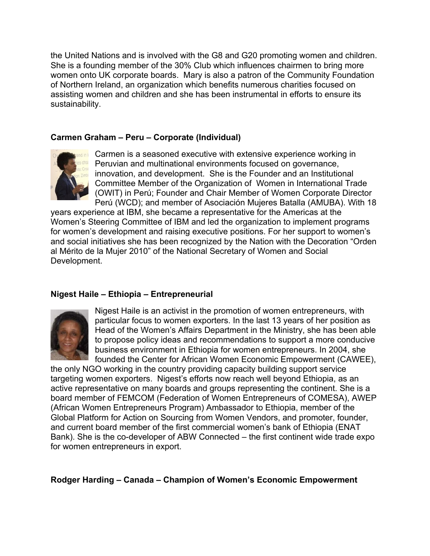the United Nations and is involved with the G8 and G20 promoting women and children. She is a founding member of the 30% Club which influences chairmen to bring more women onto UK corporate boards. Mary is also a patron of the Community Foundation of Northern Ireland, an organization which benefits numerous charities focused on assisting women and children and she has been instrumental in efforts to ensure its sustainability.

### **Carmen Graham – Peru – Corporate (Individual)**



Carmen is a seasoned executive with extensive experience working in Peruvian and multinational environments focused on governance, innovation, and development. She is the Founder and an Institutional Committee Member of the Organization of Women in International Trade (OWIT) in Perú; Founder and Chair Member of Women Corporate Director Perú (WCD); and member of Asociación Mujeres Batalla (AMUBA). With 18

years experience at IBM, she became a representative for the Americas at the Women's Steering Committee of IBM and led the organization to implement programs for women's development and raising executive positions. For her support to women's and social initiatives she has been recognized by the Nation with the Decoration "Orden al Mérito de la Mujer 2010" of the National Secretary of Women and Social Development.

### **Nigest Haile – Ethiopia – Entrepreneurial**



Nigest Haile is an activist in the promotion of women entrepreneurs, with particular focus to women exporters. In the last 13 years of her position as Head of the Women's Affairs Department in the Ministry, she has been able to propose policy ideas and recommendations to support a more conducive business environment in Ethiopia for women entrepreneurs. In 2004, she founded the Center for African Women Economic Empowerment (CAWEE),

the only NGO working in the country providing capacity building support service targeting women exporters. Nigest's efforts now reach well beyond Ethiopia, as an active representative on many boards and groups representing the continent. She is a board member of FEMCOM (Federation of Women Entrepreneurs of COMESA), AWEP (African Women Entrepreneurs Program) Ambassador to Ethiopia, member of the Global Platform for Action on Sourcing from Women Vendors, and promoter, founder, and current board member of the first commercial women's bank of Ethiopia (ENAT Bank). She is the co-developer of ABW Connected – the first continent wide trade expo for women entrepreneurs in export.

**Rodger Harding – Canada – Champion of Women's Economic Empowerment**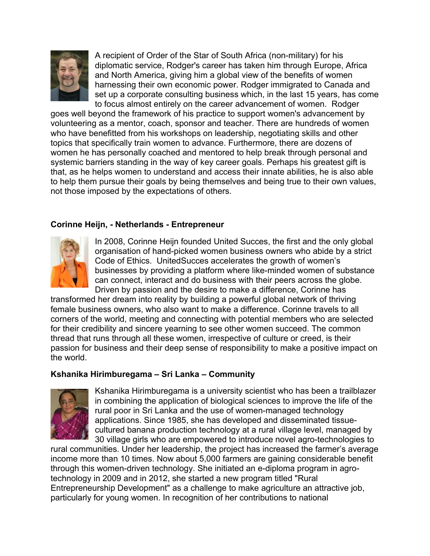

A recipient of Order of the Star of South Africa (non-military) for his diplomatic service, Rodger's career has taken him through Europe, Africa and North America, giving him a global view of the benefits of women harnessing their own economic power. Rodger immigrated to Canada and set up a corporate consulting business which, in the last 15 years, has come to focus almost entirely on the career advancement of women. Rodger

goes well beyond the framework of his practice to support women's advancement by volunteering as a mentor, coach, sponsor and teacher. There are hundreds of women who have benefitted from his workshops on leadership, negotiating skills and other topics that specifically train women to advance. Furthermore, there are dozens of women he has personally coached and mentored to help break through personal and systemic barriers standing in the way of key career goals. Perhaps his greatest gift is that, as he helps women to understand and access their innate abilities, he is also able to help them pursue their goals by being themselves and being true to their own values, not those imposed by the expectations of others.

## **Corinne Heijn, - Netherlands - Entrepreneur**



In 2008, Corinne Heijn founded United Succes, the first and the only global organisation of hand-picked women business owners who abide by a strict Code of Ethics. UnitedSucces accelerates the growth of women's businesses by providing a platform where like-minded women of substance can connect, interact and do business with their peers across the globe. Driven by passion and the desire to make a difference, Corinne has

transformed her dream into reality by building a powerful global network of thriving female business owners, who also want to make a difference. Corinne travels to all corners of the world, meeting and connecting with potential members who are selected for their credibility and sincere yearning to see other women succeed. The common thread that runs through all these women, irrespective of culture or creed, is their passion for business and their deep sense of responsibility to make a positive impact on the world.

### **Kshanika Hirimburegama – Sri Lanka – Community**



Kshanika Hirimburegama is a university scientist who has been a trailblazer in combining the application of biological sciences to improve the life of the rural poor in Sri Lanka and the use of women-managed technology applications. Since 1985, she has developed and disseminated tissuecultured banana production technology at a rural village level, managed by 30 village girls who are empowered to introduce novel agro-technologies to

rural communities. Under her leadership, the project has increased the farmer's average income more than 10 times. Now about 5,000 farmers are gaining considerable benefit through this women-driven technology. She initiated an e-diploma program in agrotechnology in 2009 and in 2012, she started a new program titled "Rural Entrepreneurship Development" as a challenge to make agriculture an attractive job, particularly for young women. In recognition of her contributions to national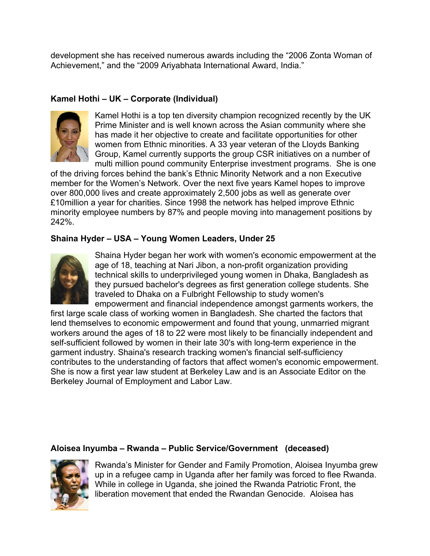development she has received numerous awards including the "2006 Zonta Woman of Achievement," and the "2009 Ariyabhata International Award, India."

# **Kamel Hothi – UK – Corporate (Individual)**



Kamel Hothi is a top ten diversity champion recognized recently by the UK Prime Minister and is well known across the Asian community where she has made it her objective to create and facilitate opportunities for other women from Ethnic minorities. A 33 year veteran of the Lloyds Banking Group, Kamel currently supports the group CSR initiatives on a number of multi million pound community Enterprise investment programs. She is one

of the driving forces behind the bank's Ethnic Minority Network and a non Executive member for the Women's Network. Over the next five years Kamel hopes to improve over 800,000 lives and create approximately 2,500 jobs as well as generate over £10million a year for charities. Since 1998 the network has helped improve Ethnic minority employee numbers by 87% and people moving into management positions by 242%.

## **Shaina Hyder – USA – Young Women Leaders, Under 25**

![](_page_13_Picture_6.jpeg)

Shaina Hyder began her work with women's economic empowerment at the age of 18, teaching at Nari Jibon, a non-profit organization providing technical skills to underprivileged young women in Dhaka, Bangladesh as they pursued bachelor's degrees as first generation college students. She traveled to Dhaka on a Fulbright Fellowship to study women's empowerment and financial independence amongst garments workers, the

first large scale class of working women in Bangladesh. She charted the factors that lend themselves to economic empowerment and found that young, unmarried migrant workers around the ages of 18 to 22 were most likely to be financially independent and self-sufficient followed by women in their late 30's with long-term experience in the garment industry. Shaina's research tracking women's financial self-sufficiency contributes to the understanding of factors that affect women's economic empowerment. She is now a first year law student at Berkeley Law and is an Associate Editor on the Berkeley Journal of Employment and Labor Law.

### **Aloisea Inyumba – Rwanda – Public Service/Government (deceased)**

![](_page_13_Picture_10.jpeg)

Rwanda's Minister for Gender and Family Promotion, Aloisea Inyumba grew up in a refugee camp in Uganda after her family was forced to flee Rwanda. While in college in Uganda, she joined the Rwanda Patriotic Front, the liberation movement that ended the Rwandan Genocide. Aloisea has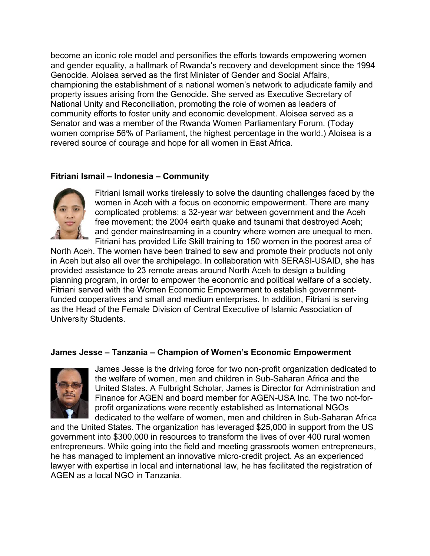become an iconic role model and personifies the efforts towards empowering women and gender equality, a hallmark of Rwanda's recovery and development since the 1994 Genocide. Aloisea served as the first Minister of Gender and Social Affairs, championing the establishment of a national women's network to adjudicate family and property issues arising from the Genocide. She served as Executive Secretary of National Unity and Reconciliation, promoting the role of women as leaders of community efforts to foster unity and economic development. Aloisea served as a Senator and was a member of the Rwanda Women Parliamentary Forum. (Today women comprise 56% of Parliament, the highest percentage in the world.) Aloisea is a revered source of courage and hope for all women in East Africa.

# **Fitriani Ismail – Indonesia – Community**

![](_page_14_Picture_2.jpeg)

Fitriani Ismail works tirelessly to solve the daunting challenges faced by the women in Aceh with a focus on economic empowerment. There are many complicated problems: a 32-year war between government and the Aceh free movement; the 2004 earth quake and tsunami that destroyed Aceh; and gender mainstreaming in a country where women are unequal to men. Fitriani has provided Life Skill training to 150 women in the poorest area of

North Aceh. The women have been trained to sew and promote their products not only in Aceh but also all over the archipelago. In collaboration with SERASI-USAID, she has provided assistance to 23 remote areas around North Aceh to design a building planning program, in order to empower the economic and political welfare of a society. Fitriani served with the Women Economic Empowerment to establish governmentfunded cooperatives and small and medium enterprises. In addition, Fitriani is serving as the Head of the Female Division of Central Executive of Islamic Association of University Students.

### **James Jesse – Tanzania – Champion of Women's Economic Empowerment**

![](_page_14_Picture_6.jpeg)

James Jesse is the driving force for two non-profit organization dedicated to the welfare of women, men and children in Sub-Saharan Africa and the United States. A Fulbright Scholar, James is Director for Administration and Finance for AGEN and board member for AGEN-USA Inc. The two not-forprofit organizations were recently established as International NGOs dedicated to the welfare of women, men and children in Sub-Saharan Africa

and the United States. The organization has leveraged \$25,000 in support from the US government into \$300,000 in resources to transform the lives of over 400 rural women entrepreneurs. While going into the field and meeting grassroots women entrepreneurs, he has managed to implement an innovative micro-credit project. As an experienced lawyer with expertise in local and international law, he has facilitated the registration of AGEN as a local NGO in Tanzania.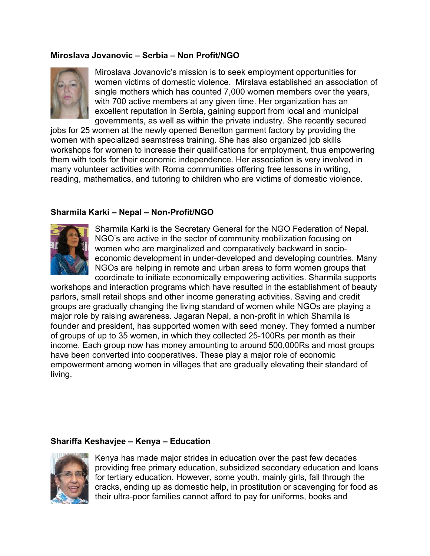### **Miroslava Jovanovic – Serbia – Non Profit/NGO**

![](_page_15_Picture_1.jpeg)

Miroslava Jovanovic's mission is to seek employment opportunities for women victims of domestic violence. Mirslava established an association of single mothers which has counted 7,000 women members over the years, with 700 active members at any given time. Her organization has an excellent reputation in Serbia, gaining support from local and municipal governments, as well as within the private industry. She recently secured

jobs for 25 women at the newly opened Benetton garment factory by providing the women with specialized seamstress training. She has also organized job skills workshops for women to increase their qualifications for employment, thus empowering them with tools for their economic independence. Her association is very involved in many volunteer activities with Roma communities offering free lessons in writing, reading, mathematics, and tutoring to children who are victims of domestic violence.

## **Sharmila Karki – Nepal – Non-Profit/NGO**

![](_page_15_Picture_5.jpeg)

Sharmila Karki is the Secretary General for the NGO Federation of Nepal. NGO's are active in the sector of community mobilization focusing on women who are marginalized and comparatively backward in socioeconomic development in under-developed and developing countries. Many NGOs are helping in remote and urban areas to form women groups that coordinate to initiate economically empowering activities. Sharmila supports

workshops and interaction programs which have resulted in the establishment of beauty parlors, small retail shops and other income generating activities. Saving and credit groups are gradually changing the living standard of women while NGOs are playing a major role by raising awareness. Jagaran Nepal, a non-profit in which Shamila is founder and president, has supported women with seed money. They formed a number of groups of up to 35 women, in which they collected 25-100Rs per month as their income. Each group now has money amounting to around 500,000Rs and most groups have been converted into cooperatives. These play a major role of economic empowerment among women in villages that are gradually elevating their standard of living.

### **Shariffa Keshavjee – Kenya – Education**

![](_page_15_Picture_9.jpeg)

Kenya has made major strides in education over the past few decades providing free primary education, subsidized secondary education and loans for tertiary education. However, some youth, mainly girls, fall through the cracks, ending up as domestic help, in prostitution or scavenging for food as their ultra-poor families cannot afford to pay for uniforms, books and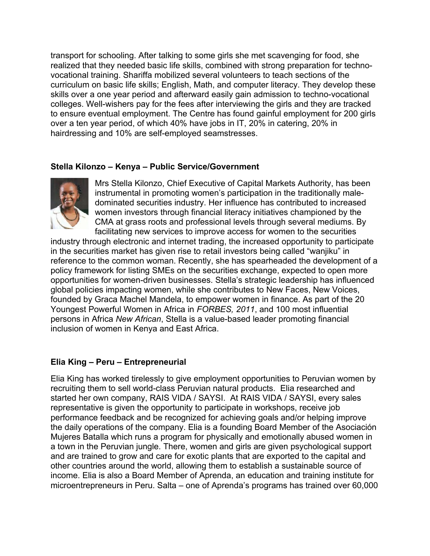transport for schooling. After talking to some girls she met scavenging for food, she realized that they needed basic life skills, combined with strong preparation for technovocational training. Shariffa mobilized several volunteers to teach sections of the curriculum on basic life skills; English, Math, and computer literacy. They develop these skills over a one year period and afterward easily gain admission to techno-vocational colleges. Well-wishers pay for the fees after interviewing the girls and they are tracked to ensure eventual employment. The Centre has found gainful employment for 200 girls over a ten year period, of which 40% have jobs in IT, 20% in catering, 20% in hairdressing and 10% are self-employed seamstresses.

### **Stella Kilonzo – Kenya – Public Service/Government**

![](_page_16_Picture_2.jpeg)

Mrs Stella Kilonzo, Chief Executive of Capital Markets Authority, has been instrumental in promoting women's participation in the traditionally maledominated securities industry. Her influence has contributed to increased women investors through financial literacy initiatives championed by the CMA at grass roots and professional levels through several mediums. By facilitating new services to improve access for women to the securities

industry through electronic and internet trading, the increased opportunity to participate in the securities market has given rise to retail investors being called "wanjiku" in reference to the common woman. Recently, she has spearheaded the development of a policy framework for listing SMEs on the securities exchange, expected to open more opportunities for women-driven businesses. Stella's strategic leadership has influenced global policies impacting women, while she contributes to New Faces, New Voices, founded by Graca Machel Mandela, to empower women in finance. As part of the 20 Youngest Powerful Women in Africa in *FORBES, 2011*, and 100 most influential persons in Africa *New African*, Stella is a value-based leader promoting financial inclusion of women in Kenya and East Africa.

# **Elia King – Peru – Entrepreneurial**

Elia King has worked tirelessly to give employment opportunities to Peruvian women by recruiting them to sell world-class Peruvian natural products. Elia researched and started her own company, RAIS VIDA / SAYSI. At RAIS VIDA / SAYSI, every sales representative is given the opportunity to participate in workshops, receive job performance feedback and be recognized for achieving goals and/or helping improve the daily operations of the company. Elia is a founding Board Member of the Asociación Mujeres Batalla which runs a program for physically and emotionally abused women in a town in the Peruvian jungle. There, women and girls are given psychological support and are trained to grow and care for exotic plants that are exported to the capital and other countries around the world, allowing them to establish a sustainable source of income. Elia is also a Board Member of Aprenda, an education and training institute for microentrepreneurs in Peru. Salta – one of Aprenda's programs has trained over 60,000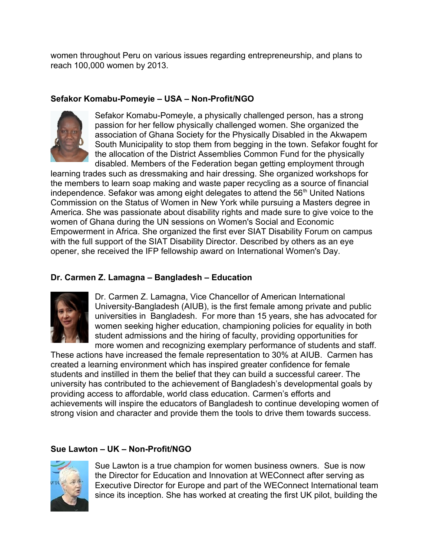women throughout Peru on various issues regarding entrepreneurship, and plans to reach 100,000 women by 2013.

## **Sefakor Komabu-Pomeyie – USA – Non-Profit/NGO**

![](_page_17_Picture_2.jpeg)

Sefakor Komabu-Pomeyle, a physically challenged person, has a strong passion for her fellow physically challenged women. She organized the association of Ghana Society for the Physically Disabled in the Akwapem South Municipality to stop them from begging in the town. Sefakor fought for the allocation of the District Assemblies Common Fund for the physically disabled. Members of the Federation began getting employment through

learning trades such as dressmaking and hair dressing. She organized workshops for the members to learn soap making and waste paper recycling as a source of financial independence. Sefakor was among eight delegates to attend the 56<sup>th</sup> United Nations Commission on the Status of Women in New York while pursuing a Masters degree in America. She was passionate about disability rights and made sure to give voice to the women of Ghana during the UN sessions on Women's Social and Economic Empowerment in Africa. She organized the first ever SIAT Disability Forum on campus with the full support of the SIAT Disability Director. Described by others as an eye opener, she received the IFP fellowship award on International Women's Day.

# **Dr. Carmen Z. Lamagna – Bangladesh – Education**

![](_page_17_Picture_6.jpeg)

Dr. Carmen Z. Lamagna, Vice Chancellor of American International University-Bangladesh (AIUB), is the first female among private and public universities in Bangladesh. For more than 15 years, she has advocated for women seeking higher education, championing policies for equality in both student admissions and the hiring of faculty, providing opportunities for more women and recognizing exemplary performance of students and staff.

These actions have increased the female representation to 30% at AIUB. Carmen has created a learning environment which has inspired greater confidence for female students and instilled in them the belief that they can build a successful career. The university has contributed to the achievement of Bangladesh's developmental goals by providing access to affordable, world class education. Carmen's efforts and achievements will inspire the educators of Bangladesh to continue developing women of strong vision and character and provide them the tools to drive them towards success.

# **Sue Lawton – UK – Non-Profit/NGO**

![](_page_17_Picture_10.jpeg)

Sue Lawton is a true champion for women business owners. Sue is now the Director for Education and Innovation at WEConnect after serving as Executive Director for Europe and part of the WEConnect International team since its inception. She has worked at creating the first UK pilot, building the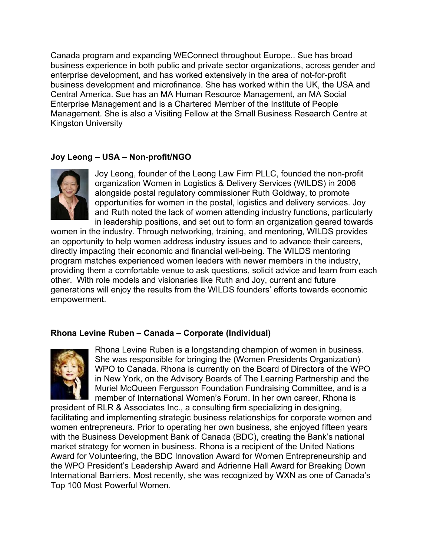Canada program and expanding WEConnect throughout Europe.. Sue has broad business experience in both public and private sector organizations, across gender and enterprise development, and has worked extensively in the area of not-for-profit business development and microfinance. She has worked within the UK, the USA and Central America. Sue has an MA Human Resource Management, an MA Social Enterprise Management and is a Chartered Member of the Institute of People Management. She is also a Visiting Fellow at the Small Business Research Centre at Kingston University

### **Joy Leong – USA – Non-profit/NGO**

![](_page_18_Picture_2.jpeg)

Joy Leong, founder of the Leong Law Firm PLLC, founded the non-profit organization Women in Logistics & Delivery Services (WILDS) in 2006 alongside postal regulatory commissioner Ruth Goldway, to promote opportunities for women in the postal, logistics and delivery services. Joy and Ruth noted the lack of women attending industry functions, particularly in leadership positions, and set out to form an organization geared towards

women in the industry. Through networking, training, and mentoring, WILDS provides an opportunity to help women address industry issues and to advance their careers, directly impacting their economic and financial well-being. The WILDS mentoring program matches experienced women leaders with newer members in the industry, providing them a comfortable venue to ask questions, solicit advice and learn from each other. With role models and visionaries like Ruth and Joy, current and future generations will enjoy the results from the WILDS founders' efforts towards economic empowerment.

### **Rhona Levine Ruben – Canada – Corporate (Individual)**

![](_page_18_Picture_6.jpeg)

Rhona Levine Ruben is a longstanding champion of women in business. She was responsible for bringing the (Women Presidents Organization) WPO to Canada. Rhona is currently on the Board of Directors of the WPO in New York, on the Advisory Boards of The Learning Partnership and the Muriel McQueen Fergusson Foundation Fundraising Committee, and is a member of International Women's Forum. In her own career, Rhona is

president of RLR & Associates Inc., a consulting firm specializing in designing, facilitating and implementing strategic business relationships for corporate women and women entrepreneurs. Prior to operating her own business, she enjoyed fifteen years with the Business Development Bank of Canada (BDC), creating the Bank's national market strategy for women in business. Rhona is a recipient of the United Nations Award for Volunteering, the BDC Innovation Award for Women Entrepreneurship and the WPO President's Leadership Award and Adrienne Hall Award for Breaking Down International Barriers. Most recently, she was recognized by WXN as one of Canada's Top 100 Most Powerful Women.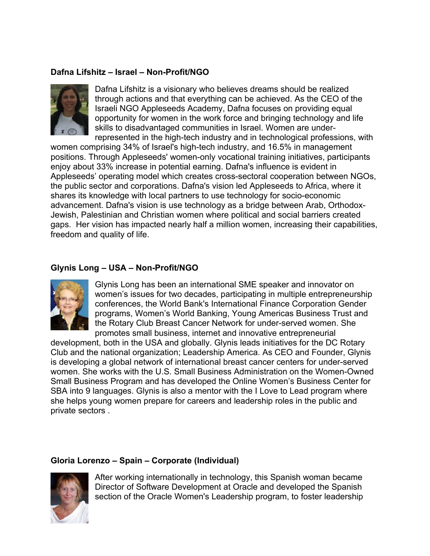## **Dafna Lifshitz – Israel – Non-Profit/NGO**

![](_page_19_Picture_1.jpeg)

Dafna Lifshitz is a visionary who believes dreams should be realized through actions and that everything can be achieved. As the CEO of the Israeli NGO Appleseeds Academy, Dafna focuses on providing equal opportunity for women in the work force and bringing technology and life skills to disadvantaged communities in Israel. Women are underrepresented in the high-tech industry and in technological professions, with

women comprising 34% of Israel's high-tech industry, and 16.5% in management positions. Through Appleseeds' women-only vocational training initiatives, participants enjoy about 33% increase in potential earning. Dafna's influence is evident in Appleseeds' operating model which creates cross-sectoral cooperation between NGOs, the public sector and corporations. Dafna's vision led Appleseeds to Africa, where it shares its knowledge with local partners to use technology for socio-economic advancement. Dafna's vision is use technology as a bridge between Arab, Orthodox-Jewish, Palestinian and Christian women where political and social barriers created gaps. Her vision has impacted nearly half a million women, increasing their capabilities, freedom and quality of life.

## **Glynis Long – USA – Non-Profit/NGO**

![](_page_19_Picture_5.jpeg)

Glynis Long has been an international SME speaker and innovator on women's issues for two decades, participating in multiple entrepreneurship conferences, the World Bank's International Finance Corporation Gender programs, Women's World Banking, Young Americas Business Trust and the Rotary Club Breast Cancer Network for under-served women. She promotes small business, internet and innovative entrepreneurial

development, both in the USA and globally. Glynis leads initiatives for the DC Rotary Club and the national organization; Leadership America. As CEO and Founder, Glynis is developing a global network of international breast cancer centers for under-served women. She works with the U.S. Small Business Administration on the Women-Owned Small Business Program and has developed the Online Women's Business Center for SBA into 9 languages. Glynis is also a mentor with the I Love to Lead program where she helps young women prepare for careers and leadership roles in the public and private sectors .

### **Gloria Lorenzo – Spain – Corporate (Individual)**

![](_page_19_Picture_9.jpeg)

After working internationally in technology, this Spanish woman became Director of Software Development at Oracle and developed the Spanish section of the Oracle Women's Leadership program, to foster leadership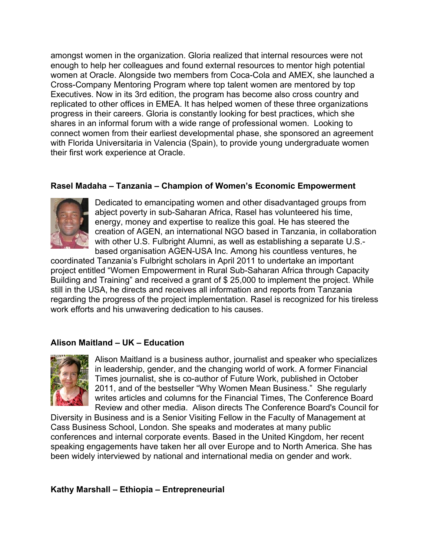amongst women in the organization. Gloria realized that internal resources were not enough to help her colleagues and found external resources to mentor high potential women at Oracle. Alongside two members from Coca-Cola and AMEX, she launched a Cross-Company Mentoring Program where top talent women are mentored by top Executives. Now in its 3rd edition, the program has become also cross country and replicated to other offices in EMEA. It has helped women of these three organizations progress in their careers. Gloria is constantly looking for best practices, which she shares in an informal forum with a wide range of professional women. Looking to connect women from their earliest developmental phase, she sponsored an agreement with Florida Universitaria in Valencia (Spain), to provide young undergraduate women their first work experience at Oracle.

### **Rasel Madaha – Tanzania – Champion of Women's Economic Empowerment**

![](_page_20_Picture_2.jpeg)

Dedicated to emancipating women and other disadvantaged groups from abject poverty in sub-Saharan Africa, Rasel has volunteered his time, energy, money and expertise to realize this goal. He has steered the creation of AGEN, an international NGO based in Tanzania, in collaboration with other U.S. Fulbright Alumni, as well as establishing a separate U.S. based organisation AGEN-USA Inc. Among his countless ventures, he

coordinated Tanzania's Fulbright scholars in April 2011 to undertake an important project entitled "Women Empowerment in Rural Sub-Saharan Africa through Capacity Building and Training" and received a grant of \$ 25,000 to implement the project. While still in the USA, he directs and receives all information and reports from Tanzania regarding the progress of the project implementation. Rasel is recognized for his tireless work efforts and his unwavering dedication to his causes.

### **Alison Maitland – UK – Education**

![](_page_20_Picture_6.jpeg)

Alison Maitland is a business author, journalist and speaker who specializes in leadership, gender, and the changing world of work. A former Financial Times journalist, she is co-author of Future Work, published in October 2011, and of the bestseller "Why Women Mean Business." She regularly writes articles and columns for the Financial Times, The Conference Board Review and other media. Alison directs The Conference Board's Council for

Diversity in Business and is a Senior Visiting Fellow in the Faculty of Management at Cass Business School, London. She speaks and moderates at many public conferences and internal corporate events. Based in the United Kingdom, her recent speaking engagements have taken her all over Europe and to North America. She has been widely interviewed by national and international media on gender and work.

**Kathy Marshall – Ethiopia – Entrepreneurial**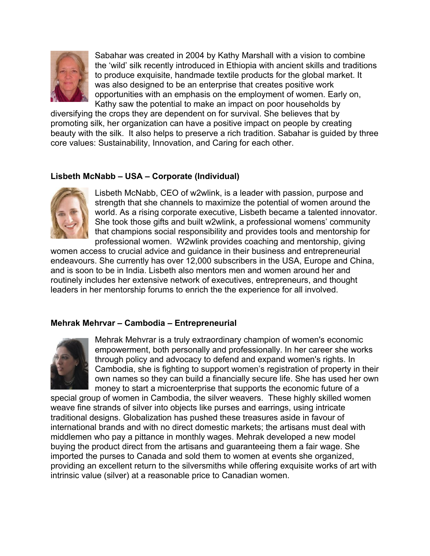![](_page_21_Picture_0.jpeg)

Sabahar was created in 2004 by Kathy Marshall with a vision to combine the 'wild' silk recently introduced in Ethiopia with ancient skills and traditions to produce exquisite, handmade textile products for the global market. It was also designed to be an enterprise that creates positive work opportunities with an emphasis on the employment of women. Early on, Kathy saw the potential to make an impact on poor households by

diversifying the crops they are dependent on for survival. She believes that by promoting silk, her organization can have a positive impact on people by creating beauty with the silk. It also helps to preserve a rich tradition. Sabahar is guided by three core values: Sustainability, Innovation, and Caring for each other.

# **Lisbeth McNabb – USA – Corporate (Individual)**

![](_page_21_Picture_4.jpeg)

Lisbeth McNabb, CEO of w2wlink, is a leader with passion, purpose and strength that she channels to maximize the potential of women around the world. As a rising corporate executive, Lisbeth became a talented innovator. She took those gifts and built w2wlink, a professional womens' community that champions social responsibility and provides tools and mentorship for professional women. W2wlink provides coaching and mentorship, giving

women access to crucial advice and guidance in their business and entrepreneurial endeavours. She currently has over 12,000 subscribers in the USA, Europe and China, and is soon to be in India. Lisbeth also mentors men and women around her and routinely includes her extensive network of executives, entrepreneurs, and thought leaders in her mentorship forums to enrich the the experience for all involved.

### **Mehrak Mehrvar – Cambodia – Entrepreneurial**

![](_page_21_Picture_8.jpeg)

Mehrak Mehvrar is a truly extraordinary champion of women's economic empowerment, both personally and professionally. In her career she works through policy and advocacy to defend and expand women's rights. In Cambodia, she is fighting to support women's registration of property in their own names so they can build a financially secure life. She has used her own money to start a microenterprise that supports the economic future of a

special group of women in Cambodia, the silver weavers. These highly skilled women weave fine strands of silver into objects like purses and earrings, using intricate traditional designs. Globalization has pushed these treasures aside in favour of international brands and with no direct domestic markets; the artisans must deal with middlemen who pay a pittance in monthly wages. Mehrak developed a new model buying the product direct from the artisans and guaranteeing them a fair wage. She imported the purses to Canada and sold them to women at events she organized, providing an excellent return to the silversmiths while offering exquisite works of art with intrinsic value (silver) at a reasonable price to Canadian women.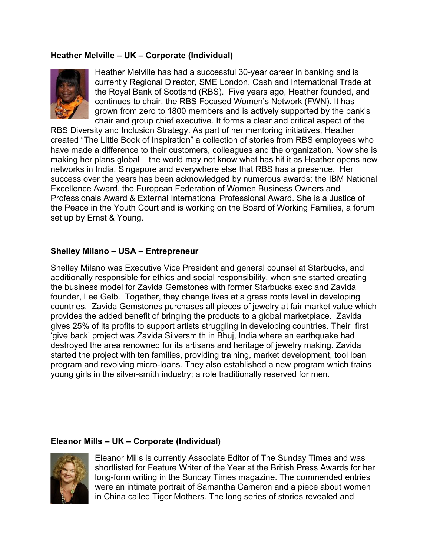### **Heather Melville – UK – Corporate (Individual)**

![](_page_22_Picture_1.jpeg)

Heather Melville has had a successful 30-year career in banking and is currently Regional Director, SME London, Cash and International Trade at the Royal Bank of Scotland (RBS). Five years ago, Heather founded, and continues to chair, the RBS Focused Women's Network (FWN). It has grown from zero to 1800 members and is actively supported by the bank's chair and group chief executive. It forms a clear and critical aspect of the

RBS Diversity and Inclusion Strategy. As part of her mentoring initiatives, Heather created "The Little Book of Inspiration" a collection of stories from RBS employees who have made a difference to their customers, colleagues and the organization. Now she is making her plans global – the world may not know what has hit it as Heather opens new networks in India, Singapore and everywhere else that RBS has a presence. Her success over the years has been acknowledged by numerous awards: the IBM National Excellence Award, the European Federation of Women Business Owners and Professionals Award & External International Professional Award. She is a Justice of the Peace in the Youth Court and is working on the Board of Working Families, a forum set up by Ernst & Young.

#### **Shelley Milano – USA – Entrepreneur**

Shelley Milano was Executive Vice President and general counsel at Starbucks, and additionally responsible for ethics and social responsibility, when she started creating the business model for Zavida Gemstones with former Starbucks exec and Zavida founder, Lee Gelb. Together, they change lives at a grass roots level in developing countries. Zavida Gemstones purchases all pieces of jewelry at fair market value which provides the added benefit of bringing the products to a global marketplace. Zavida gives 25% of its profits to support artists struggling in developing countries. Their first 'give back' project was Zavida Silversmith in Bhuj, India where an earthquake had destroyed the area renowned for its artisans and heritage of jewelry making. Zavida started the project with ten families, providing training, market development, tool loan program and revolving micro-loans. They also established a new program which trains young girls in the silver-smith industry; a role traditionally reserved for men.

#### **Eleanor Mills – UK – Corporate (Individual)**

![](_page_22_Picture_7.jpeg)

Eleanor Mills is currently Associate Editor of The Sunday Times and was shortlisted for Feature Writer of the Year at the British Press Awards for her long-form writing in the Sunday Times magazine. The commended entries were an intimate portrait of Samantha Cameron and a piece about women in China called Tiger Mothers. The long series of stories revealed and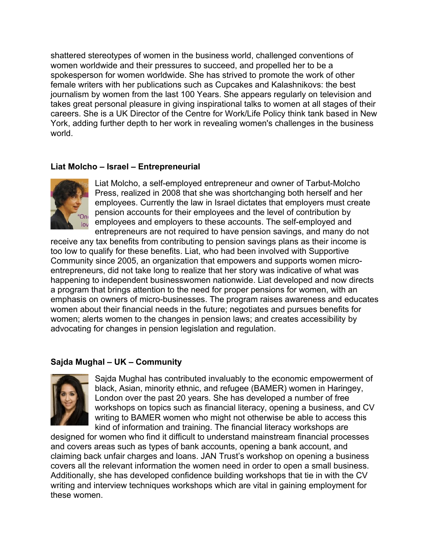shattered stereotypes of women in the business world, challenged conventions of women worldwide and their pressures to succeed, and propelled her to be a spokesperson for women worldwide. She has strived to promote the work of other female writers with her publications such as Cupcakes and Kalashnikovs: the best journalism by women from the last 100 Years. She appears regularly on television and takes great personal pleasure in giving inspirational talks to women at all stages of their careers. She is a UK Director of the Centre for Work/Life Policy think tank based in New York, adding further depth to her work in revealing women's challenges in the business world.

### **Liat Molcho – Israel – Entrepreneurial**

![](_page_23_Picture_2.jpeg)

Liat Molcho, a self-employed entrepreneur and owner of Tarbut-Molcho Press, realized in 2008 that she was shortchanging both herself and her employees. Currently the law in Israel dictates that employers must create pension accounts for their employees and the level of contribution by employees and employers to these accounts. The self-employed and entrepreneurs are not required to have pension savings, and many do not

receive any tax benefits from contributing to pension savings plans as their income is too low to qualify for these benefits. Liat, who had been involved with Supportive Community since 2005, an organization that empowers and supports women microentrepreneurs, did not take long to realize that her story was indicative of what was happening to independent businesswomen nationwide. Liat developed and now directs a program that brings attention to the need for proper pensions for women, with an emphasis on owners of micro-businesses. The program raises awareness and educates women about their financial needs in the future; negotiates and pursues benefits for women; alerts women to the changes in pension laws; and creates accessibility by advocating for changes in pension legislation and regulation.

### **Sajda Mughal – UK – Community**

![](_page_23_Picture_6.jpeg)

Sajda Mughal has contributed invaluably to the economic empowerment of black, Asian, minority ethnic, and refugee (BAMER) women in Haringey, London over the past 20 years. She has developed a number of free workshops on topics such as financial literacy, opening a business, and CV writing to BAMER women who might not otherwise be able to access this kind of information and training. The financial literacy workshops are

designed for women who find it difficult to understand mainstream financial processes and covers areas such as types of bank accounts, opening a bank account, and claiming back unfair charges and loans. JAN Trust's workshop on opening a business covers all the relevant information the women need in order to open a small business. Additionally, she has developed confidence building workshops that tie in with the CV writing and interview techniques workshops which are vital in gaining employment for these women.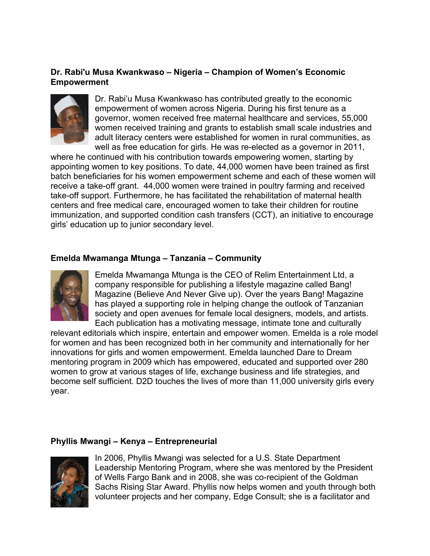### **Dr. Rabi'u Musa Kwankwaso – Nigeria – Champion of Women's Economic Empowerment**

![](_page_24_Picture_1.jpeg)

Dr. Rabi'u Musa Kwankwaso has contributed greatly to the economic empowerment of women across Nigeria. During his first tenure as a governor, women received free maternal healthcare and services, 55,000 women received training and grants to establish small scale industries and adult literacy centers were established for women in rural communities, as well as free education for girls. He was re-elected as a governor in 2011,

where he continued with his contribution towards empowering women, starting by appointing women to key positions. To date, 44,000 women have been trained as first batch beneficiaries for his women empowerment scheme and each of these women will receive a take-off grant. 44,000 women were trained in poultry farming and received take-off support. Furthermore, he has facilitated the rehabilitation of maternal health centers and free medical care, encouraged women to take their children for routine immunization, and supported condition cash transfers (CCT), an initiative to encourage girls' education up to junior secondary level.

#### **Emelda Mwamanga Mtunga – Tanzania – Community**

![](_page_24_Picture_5.jpeg)

Emelda Mwamanga Mtunga is the CEO of Relim Entertainment Ltd, a company responsible for publishing a lifestyle magazine called Bang! Magazine (Believe And Never Give up). Over the years Bang! Magazine has played a supporting role in helping change the outlook of Tanzanian society and open avenues for female local designers, models, and artists. Each publication has a motivating message, intimate tone and culturally

relevant editorials which inspire, entertain and empower women. Emelda is a role model for women and has been recognized both in her community and internationally for her innovations for girls and women empowerment. Emelda launched Dare to Dream mentoring program in 2009 which has empowered, educated and supported over 280 women to grow at various stages of life, exchange business and life strategies, and become self sufficient. D2D touches the lives of more than 11,000 university girls every year.

#### **Phyllis Mwangi – Kenya – Entrepreneurial**

![](_page_24_Picture_9.jpeg)

In 2006, Phyllis Mwangi was selected for a U.S. State Department Leadership Mentoring Program, where she was mentored by the President of Wells Fargo Bank and in 2008, she was co-recipient of the Goldman Sachs Rising Star Award. Phyllis now helps women and youth through both volunteer projects and her company, Edge Consult; she is a facilitator and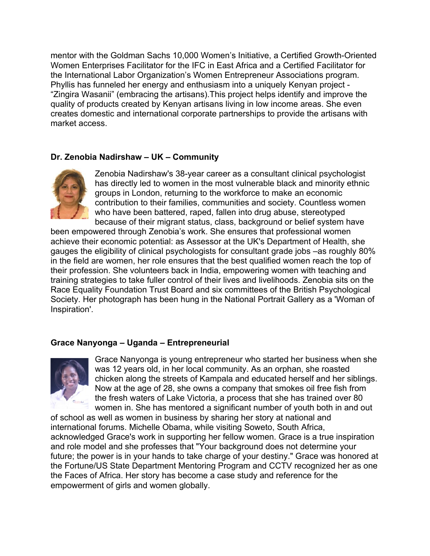mentor with the Goldman Sachs 10,000 Women's Initiative, a Certified Growth-Oriented Women Enterprises Facilitator for the IFC in East Africa and a Certified Facilitator for the International Labor Organization's Women Entrepreneur Associations program. Phyllis has funneled her energy and enthusiasm into a uniquely Kenyan project - "Zingira Wasanii" (embracing the artisans).This project helps identify and improve the quality of products created by Kenyan artisans living in low income areas. She even creates domestic and international corporate partnerships to provide the artisans with market access.

## **Dr. Zenobia Nadirshaw – UK – Community**

![](_page_25_Picture_2.jpeg)

Zenobia Nadirshaw's 38-year career as a consultant clinical psychologist has directly led to women in the most vulnerable black and minority ethnic groups in London, returning to the workforce to make an economic contribution to their families, communities and society. Countless women who have been battered, raped, fallen into drug abuse, stereotyped because of their migrant status, class, background or belief system have

been empowered through Zenobia's work. She ensures that professional women achieve their economic potential: as Assessor at the UK's Department of Health, she gauges the eligibility of clinical psychologists for consultant grade jobs –as roughly 80% in the field are women, her role ensures that the best qualified women reach the top of their profession. She volunteers back in India, empowering women with teaching and training strategies to take fuller control of their lives and livelihoods. Zenobia sits on the Race Equality Foundation Trust Board and six committees of the British Psychological Society. Her photograph has been hung in the National Portrait Gallery as a 'Woman of Inspiration'.

### **Grace Nanyonga – Uganda – Entrepreneurial**

![](_page_25_Picture_6.jpeg)

Grace Nanyonga is young entrepreneur who started her business when she was 12 years old, in her local community. As an orphan, she roasted chicken along the streets of Kampala and educated herself and her siblings. Now at the age of 28, she owns a company that smokes oil free fish from the fresh waters of Lake Victoria, a process that she has trained over 80 women in. She has mentored a significant number of youth both in and out

of school as well as women in business by sharing her story at national and international forums. Michelle Obama, while visiting Soweto, South Africa, acknowledged Grace's work in supporting her fellow women. Grace is a true inspiration and role model and she professes that "Your background does not determine your future; the power is in your hands to take charge of your destiny." Grace was honored at the Fortune/US State Department Mentoring Program and CCTV recognized her as one the Faces of Africa. Her story has become a case study and reference for the empowerment of girls and women globally.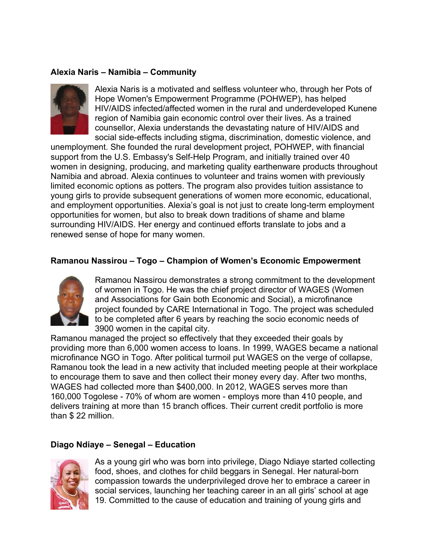#### **Alexia Naris – Namibia – Community**

![](_page_26_Picture_1.jpeg)

Alexia Naris is a motivated and selfless volunteer who, through her Pots of Hope Women's Empowerment Programme (POHWEP), has helped HIV/AIDS infected/affected women in the rural and underdeveloped Kunene region of Namibia gain economic control over their lives. As a trained counsellor, Alexia understands the devastating nature of HIV/AIDS and social side-effects including stigma, discrimination, domestic violence, and

unemployment. She founded the rural development project, POHWEP, with financial support from the U.S. Embassy's Self-Help Program, and initially trained over 40 women in designing, producing, and marketing quality earthenware products throughout Namibia and abroad. Alexia continues to volunteer and trains women with previously limited economic options as potters. The program also provides tuition assistance to young girls to provide subsequent generations of women more economic, educational, and employment opportunities. Alexia's goal is not just to create long-term employment opportunities for women, but also to break down traditions of shame and blame surrounding HIV/AIDS. Her energy and continued efforts translate to jobs and a renewed sense of hope for many women.

#### **Ramanou Nassirou – Togo – Champion of Women's Economic Empowerment**

![](_page_26_Picture_5.jpeg)

Ramanou Nassirou demonstrates a strong commitment to the development of women in Togo. He was the chief project director of WAGES (Women and Associations for Gain both Economic and Social), a microfinance project founded by CARE International in Togo. The project was scheduled to be completed after 6 years by reaching the socio economic needs of 3900 women in the capital city.

Ramanou managed the project so effectively that they exceeded their goals by providing more than 6,000 women access to loans. In 1999, WAGES became a national microfinance NGO in Togo. After political turmoil put WAGES on the verge of collapse, Ramanou took the lead in a new activity that included meeting people at their workplace to encourage them to save and then collect their money every day. After two months, WAGES had collected more than \$400,000. In 2012, WAGES serves more than 160,000 Togolese - 70% of whom are women - employs more than 410 people, and delivers training at more than 15 branch offices. Their current credit portfolio is more than \$ 22 million.

#### **Diago Ndiaye – Senegal – Education**

![](_page_26_Picture_9.jpeg)

As a young girl who was born into privilege, Diago Ndiaye started collecting food, shoes, and clothes for child beggars in Senegal. Her natural-born compassion towards the underprivileged drove her to embrace a career in social services, launching her teaching career in an all girls' school at age 19. Committed to the cause of education and training of young girls and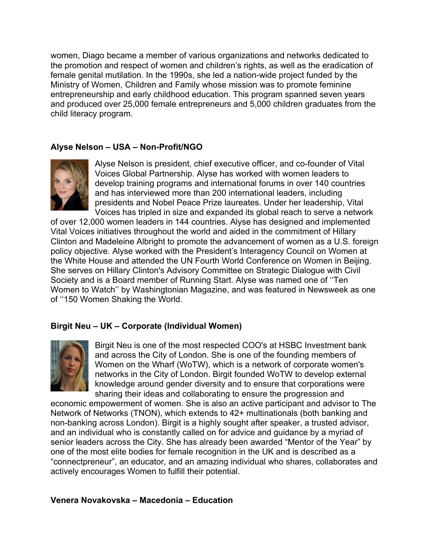women, Diago became a member of various organizations and networks dedicated to the promotion and respect of women and children's rights, as well as the eradication of female genital mutilation. In the 1990s, she led a nation-wide project funded by the Ministry of Women, Children and Family whose mission was to promote feminine entrepreneurship and early childhood education. This program spanned seven years and produced over 25,000 female entrepreneurs and 5,000 children graduates from the child literacy program.

# **Alyse Nelson – USA – Non-Profit/NGO**

![](_page_27_Picture_2.jpeg)

Alyse Nelson is president, chief executive officer, and co-founder of Vital Voices Global Partnership. Alyse has worked with women leaders to develop training programs and international forums in over 140 countries and has interviewed more than 200 international leaders, including presidents and Nobel Peace Prize laureates. Under her leadership, Vital Voices has tripled in size and expanded its global reach to serve a network

of over 12,000 women leaders in 144 countries. Alyse has designed and implemented Vital Voices initiatives throughout the world and aided in the commitment of Hillary Clinton and Madeleine Albright to promote the advancement of women as a U.S. foreign policy objective. Alyse worked with the President's Interagency Council on Women at the White House and attended the UN Fourth World Conference on Women in Beijing. She serves on Hillary Clinton's Advisory Committee on Strategic Dialogue with Civil Society and is a Board member of Running Start. Alyse was named one of ''Ten Women to Watch'' by Washingtonian Magazine, and was featured in Newsweek as one of ''150 Women Shaking the World.

### **Birgit Neu – UK – Corporate (Individual Women)**

![](_page_27_Picture_6.jpeg)

Birgit Neu is one of the most respected COO's at HSBC Investment bank and across the City of London. She is one of the founding members of Women on the Wharf (WoTW), which is a network of corporate women's networks in the City of London. Birgit founded WoTW to develop external knowledge around gender diversity and to ensure that corporations were sharing their ideas and collaborating to ensure the progression and

economic empowerment of women. She is also an active participant and advisor to The Network of Networks (TNON), which extends to 42+ multinationals (both banking and non-banking across London). Birgit is a highly sought after speaker, a trusted advisor, and an individual who is constantly called on for advice and guidance by a myriad of senior leaders across the City. She has already been awarded "Mentor of the Year" by one of the most elite bodies for female recognition in the UK and is described as a "connectpreneur", an educator, and an amazing individual who shares, collaborates and actively encourages Women to fulfill their potential.

### **Venera Novakovska – Macedonia – Education**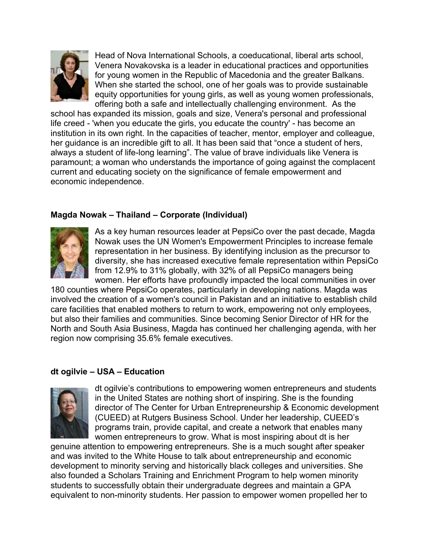![](_page_28_Picture_0.jpeg)

Head of Nova International Schools, a coeducational, liberal arts school, Venera Novakovska is a leader in educational practices and opportunities for young women in the Republic of Macedonia and the greater Balkans. When she started the school, one of her goals was to provide sustainable equity opportunities for young girls, as well as young women professionals, offering both a safe and intellectually challenging environment. As the

school has expanded its mission, goals and size, Venera's personal and professional life creed - 'when you educate the girls, you educate the country' - has become an institution in its own right. In the capacities of teacher, mentor, employer and colleague, her guidance is an incredible gift to all. It has been said that "once a student of hers, always a student of life-long learning". The value of brave individuals like Venera is paramount; a woman who understands the importance of going against the complacent current and educating society on the significance of female empowerment and economic independence.

## **Magda Nowak – Thailand – Corporate (Individual)**

![](_page_28_Picture_4.jpeg)

As a key human resources leader at PepsiCo over the past decade, Magda Nowak uses the UN Women's Empowerment Principles to increase female representation in her business. By identifying inclusion as the precursor to diversity, she has increased executive female representation within PepsiCo from 12.9% to 31% globally, with 32% of all PepsiCo managers being women. Her efforts have profoundly impacted the local communities in over

180 counties where PepsiCo operates, particularly in developing nations. Magda was involved the creation of a women's council in Pakistan and an initiative to establish child care facilities that enabled mothers to return to work, empowering not only employees, but also their families and communities. Since becoming Senior Director of HR for the North and South Asia Business, Magda has continued her challenging agenda, with her region now comprising 35.6% female executives.

### **dt ogilvie – USA – Education**

![](_page_28_Picture_8.jpeg)

dt ogilvie's contributions to empowering women entrepreneurs and students in the United States are nothing short of inspiring. She is the founding director of The Center for Urban Entrepreneurship & Economic development (CUEED) at Rutgers Business School. Under her leadership, CUEED's programs train, provide capital, and create a network that enables many women entrepreneurs to grow. What is most inspiring about dt is her

genuine attention to empowering entrepreneurs. She is a much sought after speaker and was invited to the White House to talk about entrepreneurship and economic development to minority serving and historically black colleges and universities. She also founded a Scholars Training and Enrichment Program to help women minority students to successfully obtain their undergraduate degrees and maintain a GPA equivalent to non-minority students. Her passion to empower women propelled her to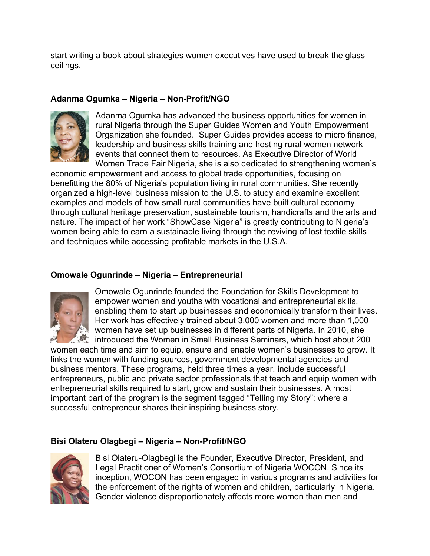start writing a book about strategies women executives have used to break the glass ceilings.

# **Adanma Ogumka – Nigeria – Non-Profit/NGO**

![](_page_29_Picture_2.jpeg)

Adanma Ogumka has advanced the business opportunities for women in rural Nigeria through the Super Guides Women and Youth Empowerment Organization she founded. Super Guides provides access to micro finance, leadership and business skills training and hosting rural women network events that connect them to resources. As Executive Director of World Women Trade Fair Nigeria, she is also dedicated to strengthening women's

economic empowerment and access to global trade opportunities, focusing on benefitting the 80% of Nigeria's population living in rural communities. She recently organized a high-level business mission to the U.S. to study and examine excellent examples and models of how small rural communities have built cultural economy through cultural heritage preservation, sustainable tourism, handicrafts and the arts and nature. The impact of her work "ShowCase Nigeria" is greatly contributing to Nigeria's women being able to earn a sustainable living through the reviving of lost textile skills and techniques while accessing profitable markets in the U.S.A.

## **Omowale Ogunrinde – Nigeria – Entrepreneurial**

![](_page_29_Picture_6.jpeg)

Omowale Ogunrinde founded the Foundation for Skills Development to empower women and youths with vocational and entrepreneurial skills, enabling them to start up businesses and economically transform their lives. Her work has effectively trained about 3,000 women and more than 1,000 women have set up businesses in different parts of Nigeria. In 2010, she If introduced the Women in Small Business Seminars, which host about 200

women each time and aim to equip, ensure and enable women's businesses to grow. It links the women with funding sources, government developmental agencies and business mentors. These programs, held three times a year, include successful entrepreneurs, public and private sector professionals that teach and equip women with entrepreneurial skills required to start, grow and sustain their businesses. A most important part of the program is the segment tagged "Telling my Story"; where a successful entrepreneur shares their inspiring business story.

# **Bisi Olateru Olagbegi – Nigeria – Non-Profit/NGO**

![](_page_29_Picture_10.jpeg)

Bisi Olateru-Olagbegi is the Founder, Executive Director, President, and Legal Practitioner of Women's Consortium of Nigeria WOCON. Since its inception, WOCON has been engaged in various programs and activities for the enforcement of the rights of women and children, particularly in Nigeria. Gender violence disproportionately affects more women than men and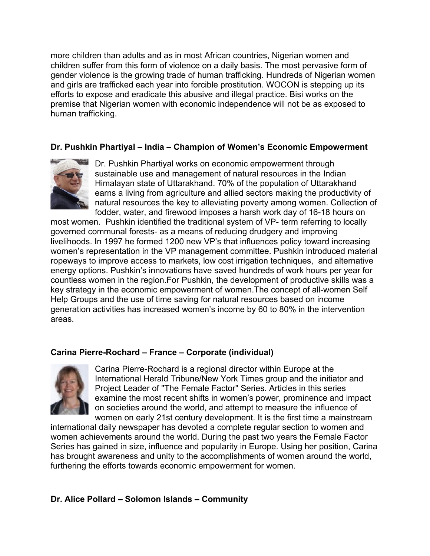more children than adults and as in most African countries, Nigerian women and children suffer from this form of violence on a daily basis. The most pervasive form of gender violence is the growing trade of human trafficking. Hundreds of Nigerian women and girls are trafficked each year into forcible prostitution. WOCON is stepping up its efforts to expose and eradicate this abusive and illegal practice. Bisi works on the premise that Nigerian women with economic independence will not be as exposed to human trafficking.

## **Dr. Pushkin Phartiyal – India – Champion of Women's Economic Empowerment**

![](_page_30_Picture_2.jpeg)

Dr. Pushkin Phartiyal works on economic empowerment through sustainable use and management of natural resources in the Indian Himalayan state of Uttarakhand. 70% of the population of Uttarakhand earns a living from agriculture and allied sectors making the productivity of natural resources the key to alleviating poverty among women. Collection of fodder, water, and firewood imposes a harsh work day of 16-18 hours on

most women. Pushkin identified the traditional system of VP- term referring to locally governed communal forests- as a means of reducing drudgery and improving livelihoods. In 1997 he formed 1200 new VP's that influences policy toward increasing women's representation in the VP management committee. Pushkin introduced material ropeways to improve access to markets, low cost irrigation techniques, and alternative energy options. Pushkin's innovations have saved hundreds of work hours per year for countless women in the region.For Pushkin, the development of productive skills was a key strategy in the economic empowerment of women.The concept of all-women Self Help Groups and the use of time saving for natural resources based on income generation activities has increased women's income by 60 to 80% in the intervention areas.

### **Carina Pierre-Rochard – France – Corporate (individual)**

![](_page_30_Picture_6.jpeg)

Carina Pierre-Rochard is a regional director within Europe at the International Herald Tribune/New York Times group and the initiator and Project Leader of "The Female Factor" Series. Articles in this series examine the most recent shifts in women's power, prominence and impact on societies around the world, and attempt to measure the influence of women on early 21st century development. It is the first time a mainstream

international daily newspaper has devoted a complete regular section to women and women achievements around the world. During the past two years the Female Factor Series has gained in size, influence and popularity in Europe. Using her position, Carina has brought awareness and unity to the accomplishments of women around the world, furthering the efforts towards economic empowerment for women.

### **Dr. Alice Pollard – Solomon Islands – Community**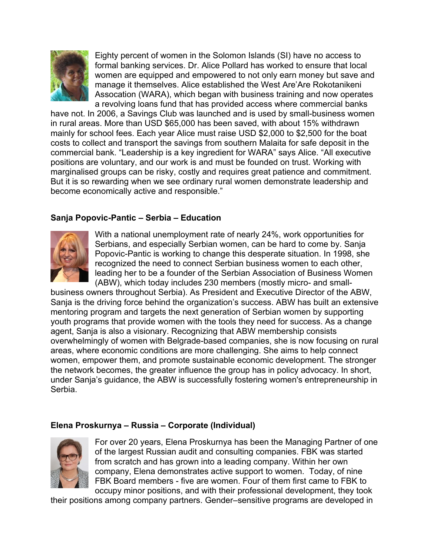![](_page_31_Picture_0.jpeg)

Eighty percent of women in the Solomon Islands (SI) have no access to formal banking services. Dr. Alice Pollard has worked to ensure that local women are equipped and empowered to not only earn money but save and manage it themselves. Alice established the West Are'Are Rokotanikeni Assocation (WARA), which began with business training and now operates a revolving loans fund that has provided access where commercial banks

have not. In 2006, a Savings Club was launched and is used by small-business women in rural areas. More than USD \$65,000 has been saved, with about 15% withdrawn mainly for school fees. Each year Alice must raise USD \$2,000 to \$2,500 for the boat costs to collect and transport the savings from southern Malaita for safe deposit in the commercial bank. "Leadership is a key ingredient for WARA" says Alice. "All executive positions are voluntary, and our work is and must be founded on trust. Working with marginalised groups can be risky, costly and requires great patience and commitment. But it is so rewarding when we see ordinary rural women demonstrate leadership and become economically active and responsible."

## **Sanja Popovic-Pantic – Serbia – Education**

![](_page_31_Picture_4.jpeg)

With a national unemployment rate of nearly 24%, work opportunities for Serbians, and especially Serbian women, can be hard to come by. Sanja Popovic-Pantic is working to change this desperate situation. In 1998, she recognized the need to connect Serbian business women to each other, leading her to be a founder of the Serbian Association of Business Women (ABW), which today includes 230 members (mostly micro- and small-

business owners throughout Serbia). As President and Executive Director of the ABW, Sanja is the driving force behind the organization's success. ABW has built an extensive mentoring program and targets the next generation of Serbian women by supporting youth programs that provide women with the tools they need for success. As a change agent, Sanja is also a visionary. Recognizing that ABW membership consists overwhelmingly of women with Belgrade-based companies, she is now focusing on rural areas, where economic conditions are more challenging. She aims to help connect women, empower them, and promote sustainable economic development. The stronger the network becomes, the greater influence the group has in policy advocacy. In short, under Sanja's guidance, the ABW is successfully fostering women's entrepreneurship in Serbia.

### **Elena Proskurnya – Russia – Corporate (Individual)**

![](_page_31_Picture_8.jpeg)

For over 20 years, Elena Proskurnya has been the Managing Partner of one of the largest Russian audit and consulting companies. FBK was started from scratch and has grown into a leading company. Within her own company, Elena demonstrates active support to women. Today, of nine FBK Board members - five are women. Four of them first came to FBK to occupy minor positions, and with their professional development, they took

their positions among company partners. Gender–sensitive programs are developed in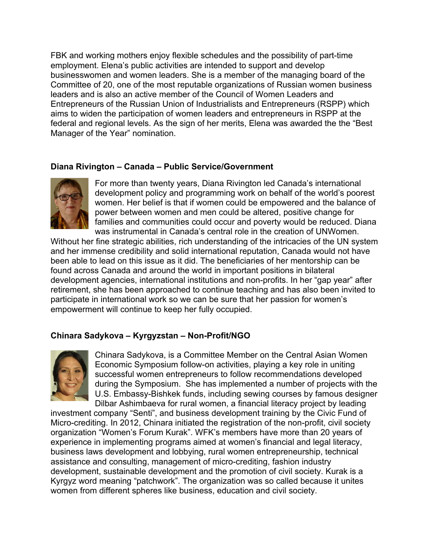FBK and working mothers enjoy flexible schedules and the possibility of part-time employment. Elena's public activities are intended to support and develop businesswomen and women leaders. She is a member of the managing board of the Committee of 20, one of the most reputable organizations of Russian women business leaders and is also an active member of the Council of Women Leaders and Entrepreneurs of the Russian Union of Industrialists and Entrepreneurs (RSPP) which aims to widen the participation of women leaders and entrepreneurs in RSPP at the federal and regional levels. As the sign of her merits, Elena was awarded the the "Best Manager of the Year" nomination.

### **Diana Rivington – Canada – Public Service/Government**

![](_page_32_Picture_2.jpeg)

For more than twenty years, Diana Rivington led Canada's international development policy and programming work on behalf of the world's poorest women. Her belief is that if women could be empowered and the balance of power between women and men could be altered, positive change for families and communities could occur and poverty would be reduced. Diana was instrumental in Canada's central role in the creation of UNWomen.

Without her fine strategic abilities, rich understanding of the intricacies of the UN system and her immense credibility and solid international reputation, Canada would not have been able to lead on this issue as it did. The beneficiaries of her mentorship can be found across Canada and around the world in important positions in bilateral development agencies, international institutions and non-profits. In her "gap year" after retirement, she has been approached to continue teaching and has also been invited to participate in international work so we can be sure that her passion for women's empowerment will continue to keep her fully occupied.

### **Chinara Sadykova – Kyrgyzstan – Non-Profit/NGO**

![](_page_32_Picture_6.jpeg)

Chinara Sadykova, is a Committee Member on the Central Asian Women Economic Symposium follow-on activities, playing a key role in uniting successful women entrepreneurs to follow recommendations developed during the Symposium. She has implemented a number of projects with the U.S. Embassy-Bishkek funds, including sewing courses by famous designer Dilbar Ashimbaeva for rural women, a financial literacy project by leading

investment company "Senti", and business development training by the Civic Fund of Micro-crediting. In 2012, Chinara initiated the registration of the non-profit, civil society organization "Women's Forum Kurak". WFK's members have more than 20 years of experience in implementing programs aimed at women's financial and legal literacy, business laws development and lobbying, rural women entrepreneurship, technical assistance and consulting, management of micro-crediting, fashion industry development, sustainable development and the promotion of civil society. Kurak is a Kyrgyz word meaning "patchwork". The organization was so called because it unites women from different spheres like business, education and civil society.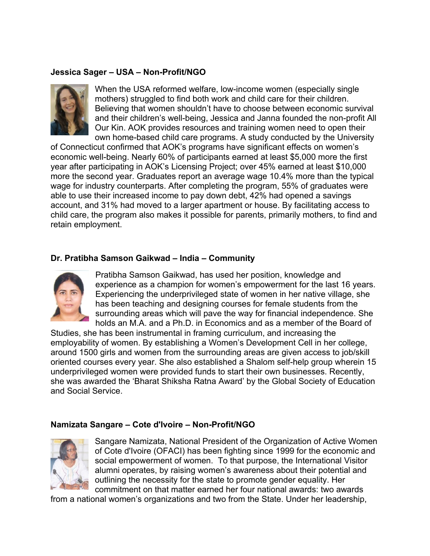### **Jessica Sager – USA – Non-Profit/NGO**

![](_page_33_Picture_1.jpeg)

When the USA reformed welfare, low-income women (especially single mothers) struggled to find both work and child care for their children. Believing that women shouldn't have to choose between economic survival and their children's well-being, Jessica and Janna founded the non-profit All Our Kin. AOK provides resources and training women need to open their own home-based child care programs. A study conducted by the University

of Connecticut confirmed that AOK's programs have significant effects on women's economic well-being. Nearly 60% of participants earned at least \$5,000 more the first year after participating in AOK's Licensing Project; over 45% earned at least \$10,000 more the second year. Graduates report an average wage 10.4% more than the typical wage for industry counterparts. After completing the program, 55% of graduates were able to use their increased income to pay down debt, 42% had opened a savings account, and 31% had moved to a larger apartment or house. By facilitating access to child care, the program also makes it possible for parents, primarily mothers, to find and retain employment.

### **Dr. Pratibha Samson Gaikwad – India – Community**

![](_page_33_Picture_5.jpeg)

Pratibha Samson Gaikwad, has used her position, knowledge and experience as a champion for women's empowerment for the last 16 years. Experiencing the underprivileged state of women in her native village, she has been teaching and designing courses for female students from the surrounding areas which will pave the way for financial independence. She holds an M.A. and a Ph.D. in Economics and as a member of the Board of

Studies, she has been instrumental in framing curriculum, and increasing the employability of women. By establishing a Women's Development Cell in her college, around 1500 girls and women from the surrounding areas are given access to job/skill oriented courses every year. She also established a Shalom self-help group wherein 15 underprivileged women were provided funds to start their own businesses. Recently, she was awarded the 'Bharat Shiksha Ratna Award' by the Global Society of Education and Social Service.

#### **Namizata Sangare – Cote d'Ivoire – Non-Profit/NGO**

![](_page_33_Picture_9.jpeg)

Sangare Namizata, National President of the Organization of Active Women of Cote d'Ivoire (OFACI) has been fighting since 1999 for the economic and social empowerment of women. To that purpose, the International Visitor alumni operates, by raising women's awareness about their potential and outlining the necessity for the state to promote gender equality. Her commitment on that matter earned her four national awards: two awards

from a national women's organizations and two from the State. Under her leadership,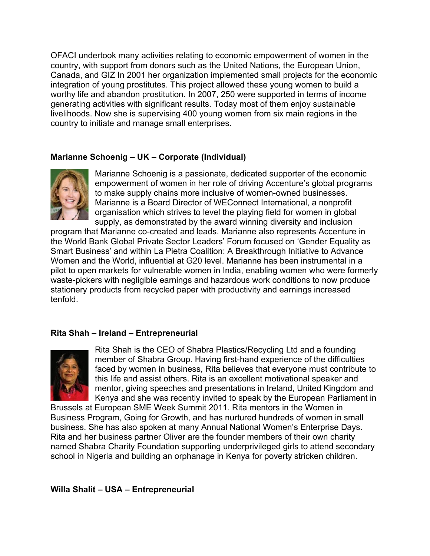OFACI undertook many activities relating to economic empowerment of women in the country, with support from donors such as the United Nations, the European Union, Canada, and GIZ In 2001 her organization implemented small projects for the economic integration of young prostitutes. This project allowed these young women to build a worthy life and abandon prostitution. In 2007, 250 were supported in terms of income generating activities with significant results. Today most of them enjoy sustainable livelihoods. Now she is supervising 400 young women from six main regions in the country to initiate and manage small enterprises.

## **Marianne Schoenig – UK – Corporate (Individual)**

![](_page_34_Picture_2.jpeg)

Marianne Schoenig is a passionate, dedicated supporter of the economic empowerment of women in her role of driving Accenture's global programs to make supply chains more inclusive of women-owned businesses. Marianne is a Board Director of WEConnect International, a nonprofit organisation which strives to level the playing field for women in global supply, as demonstrated by the award winning diversity and inclusion

program that Marianne co-created and leads. Marianne also represents Accenture in the World Bank Global Private Sector Leaders' Forum focused on 'Gender Equality as Smart Business' and within La Pietra Coalition: A Breakthrough Initiative to Advance Women and the World, influential at G20 level. Marianne has been instrumental in a pilot to open markets for vulnerable women in India, enabling women who were formerly waste-pickers with negligible earnings and hazardous work conditions to now produce stationery products from recycled paper with productivity and earnings increased tenfold.

### **Rita Shah – Ireland – Entrepreneurial**

![](_page_34_Picture_6.jpeg)

Rita Shah is the CEO of Shabra Plastics/Recycling Ltd and a founding member of Shabra Group. Having first-hand experience of the difficulties faced by women in business, Rita believes that everyone must contribute to this life and assist others. Rita is an excellent motivational speaker and mentor, giving speeches and presentations in Ireland, United Kingdom and Kenya and she was recently invited to speak by the European Parliament in

Brussels at European SME Week Summit 2011. Rita mentors in the Women in Business Program, Going for Growth, and has nurtured hundreds of women in small business. She has also spoken at many Annual National Women's Enterprise Days. Rita and her business partner Oliver are the founder members of their own charity named Shabra Charity Foundation supporting underprivileged girls to attend secondary school in Nigeria and building an orphanage in Kenya for poverty stricken children.

### **Willa Shalit – USA – Entrepreneurial**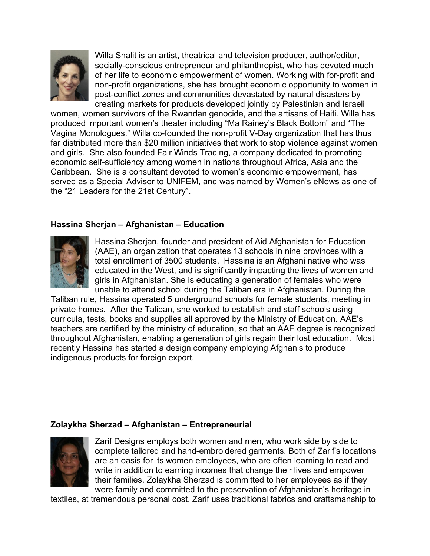![](_page_35_Picture_0.jpeg)

Willa Shalit is an artist, theatrical and television producer, author/editor, socially-conscious entrepreneur and philanthropist, who has devoted much of her life to economic empowerment of women. Working with for-profit and non-profit organizations, she has brought economic opportunity to women in post-conflict zones and communities devastated by natural disasters by creating markets for products developed jointly by Palestinian and Israeli

women, women survivors of the Rwandan genocide, and the artisans of Haiti. Willa has produced important women's theater including "Ma Rainey's Black Bottom" and "The Vagina Monologues." Willa co-founded the non-profit V-Day organization that has thus far distributed more than \$20 million initiatives that work to stop violence against women and girls. She also founded Fair Winds Trading, a company dedicated to promoting economic self-sufficiency among women in nations throughout Africa, Asia and the Caribbean. She is a consultant devoted to women's economic empowerment, has served as a Special Advisor to UNIFEM, and was named by Women's eNews as one of the "21 Leaders for the 21st Century".

### **Hassina Sherjan – Afghanistan – Education**

![](_page_35_Picture_4.jpeg)

Hassina Sherjan, founder and president of Aid Afghanistan for Education (AAE), an organization that operates 13 schools in nine provinces with a total enrollment of 3500 students. Hassina is an Afghani native who was educated in the West, and is significantly impacting the lives of women and girls in Afghanistan. She is educating a generation of females who were unable to attend school during the Taliban era in Afghanistan. During the

Taliban rule, Hassina operated 5 underground schools for female students, meeting in private homes. After the Taliban, she worked to establish and staff schools using curricula, tests, books and supplies all approved by the Ministry of Education. AAE's teachers are certified by the ministry of education, so that an AAE degree is recognized throughout Afghanistan, enabling a generation of girls regain their lost education. Most recently Hassina has started a design company employing Afghanis to produce indigenous products for foreign export.

#### **Zolaykha Sherzad – Afghanistan – Entrepreneurial**

![](_page_35_Picture_8.jpeg)

Zarif Designs employs both women and men, who work side by side to complete tailored and hand-embroidered garments. Both of Zarif's locations are an oasis for its women employees, who are often learning to read and write in addition to earning incomes that change their lives and empower their families. Zolaykha Sherzad is committed to her employees as if they were family and committed to the preservation of Afghanistan's heritage in

textiles, at tremendous personal cost. Zarif uses traditional fabrics and craftsmanship to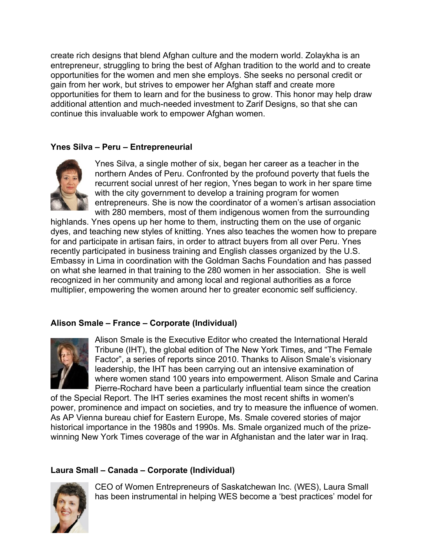create rich designs that blend Afghan culture and the modern world. Zolaykha is an entrepreneur, struggling to bring the best of Afghan tradition to the world and to create opportunities for the women and men she employs. She seeks no personal credit or gain from her work, but strives to empower her Afghan staff and create more opportunities for them to learn and for the business to grow. This honor may help draw additional attention and much-needed investment to Zarif Designs, so that she can continue this invaluable work to empower Afghan women.

## **Ynes Silva – Peru – Entrepreneurial**

![](_page_36_Picture_2.jpeg)

Ynes Silva, a single mother of six, began her career as a teacher in the northern Andes of Peru. Confronted by the profound poverty that fuels the recurrent social unrest of her region, Ynes began to work in her spare time with the city government to develop a training program for women entrepreneurs. She is now the coordinator of a women's artisan association with 280 members, most of them indigenous women from the surrounding

highlands. Ynes opens up her home to them, instructing them on the use of organic dyes, and teaching new styles of knitting. Ynes also teaches the women how to prepare for and participate in artisan fairs, in order to attract buyers from all over Peru. Ynes recently participated in business training and English classes organized by the U.S. Embassy in Lima in coordination with the Goldman Sachs Foundation and has passed on what she learned in that training to the 280 women in her association. She is well recognized in her community and among local and regional authorities as a force multiplier, empowering the women around her to greater economic self sufficiency.

# **Alison Smale – France – Corporate (Individual)**

![](_page_36_Picture_6.jpeg)

Alison Smale is the Executive Editor who created the International Herald Tribune (IHT), the global edition of The New York Times, and "The Female Factor", a series of reports since 2010. Thanks to Alison Smale's visionary leadership, the IHT has been carrying out an intensive examination of where women stand 100 years into empowerment. Alison Smale and Carina Pierre-Rochard have been a particularly influential team since the creation

of the Special Report. The IHT series examines the most recent shifts in women's power, prominence and impact on societies, and try to measure the influence of women. As AP Vienna bureau chief for Eastern Europe, Ms. Smale covered stories of major historical importance in the 1980s and 1990s. Ms. Smale organized much of the prizewinning New York Times coverage of the war in Afghanistan and the later war in Iraq.

### **Laura Small – Canada – Corporate (Individual)**

![](_page_36_Picture_10.jpeg)

CEO of Women Entrepreneurs of Saskatchewan Inc. (WES), Laura Small has been instrumental in helping WES become a 'best practices' model for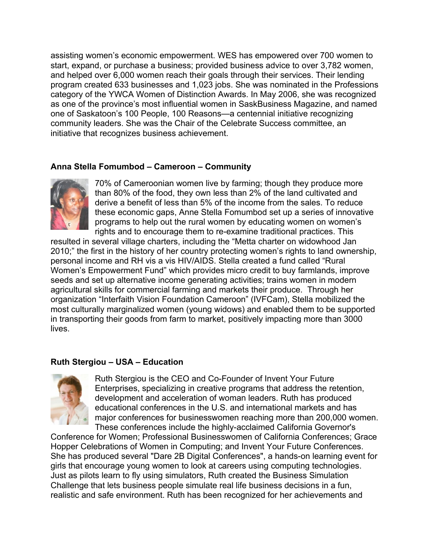assisting women's economic empowerment. WES has empowered over 700 women to start, expand, or purchase a business; provided business advice to over 3,782 women, and helped over 6,000 women reach their goals through their services. Their lending program created 633 businesses and 1,023 jobs. She was nominated in the Professions category of the YWCA Women of Distinction Awards. In May 2006, she was recognized as one of the province's most influential women in SaskBusiness Magazine, and named one of Saskatoon's 100 People, 100 Reasons—a centennial initiative recognizing community leaders. She was the Chair of the Celebrate Success committee, an initiative that recognizes business achievement.

### **Anna Stella Fomumbod – Cameroon – Community**

![](_page_37_Picture_2.jpeg)

70% of Cameroonian women live by farming; though they produce more than 80% of the food, they own less than 2% of the land cultivated and derive a benefit of less than 5% of the income from the sales. To reduce these economic gaps, Anne Stella Fomumbod set up a series of innovative programs to help out the rural women by educating women on women's rights and to encourage them to re-examine traditional practices. This

resulted in several village charters, including the "Metta charter on widowhood Jan 2010;" the first in the history of her country protecting women's rights to land ownership, personal income and RH vis a vis HIV/AIDS. Stella created a fund called "Rural Women's Empowerment Fund" which provides micro credit to buy farmlands, improve seeds and set up alternative income generating activities; trains women in modern agricultural skills for commercial farming and markets their produce. Through her organization "Interfaith Vision Foundation Cameroon" (IVFCam), Stella mobilized the most culturally marginalized women (young widows) and enabled them to be supported in transporting their goods from farm to market, positively impacting more than 3000 lives.

### **Ruth Stergiou – USA – Education**

![](_page_37_Picture_6.jpeg)

Ruth Stergiou is the CEO and Co-Founder of Invent Your Future Enterprises, specializing in creative programs that address the retention, development and acceleration of woman leaders. Ruth has produced educational conferences in the U.S. and international markets and has major conferences for businesswomen reaching more than 200,000 women. These conferences include the highly-acclaimed California Governor's

Conference for Women; Professional Businesswomen of California Conferences; Grace Hopper Celebrations of Women in Computing; and Invent Your Future Conferences. She has produced several "Dare 2B Digital Conferences", a hands-on learning event for girls that encourage young women to look at careers using computing technologies. Just as pilots learn to fly using simulators, Ruth created the Business Simulation Challenge that lets business people simulate real life business decisions in a fun, realistic and safe environment. Ruth has been recognized for her achievements and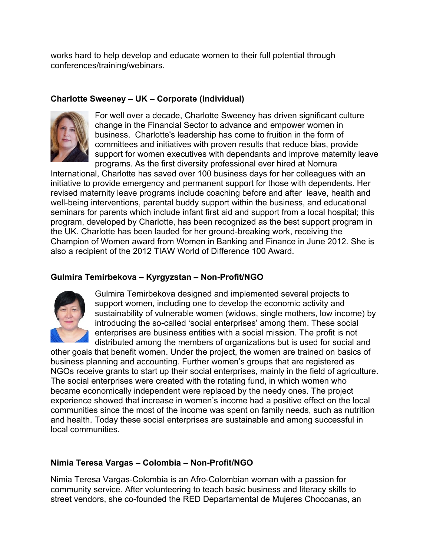works hard to help develop and educate women to their full potential through conferences/training/webinars.

## **Charlotte Sweeney – UK – Corporate (Individual)**

![](_page_38_Picture_2.jpeg)

For well over a decade, Charlotte Sweeney has driven significant culture change in the Financial Sector to advance and empower women in business. Charlotte's leadership has come to fruition in the form of committees and initiatives with proven results that reduce bias, provide support for women executives with dependants and improve maternity leave programs. As the first diversity professional ever hired at Nomura

International, Charlotte has saved over 100 business days for her colleagues with an initiative to provide emergency and permanent support for those with dependents. Her revised maternity leave programs include coaching before and after leave, health and well-being interventions, parental buddy support within the business, and educational seminars for parents which include infant first aid and support from a local hospital; this program, developed by Charlotte, has been recognized as the best support program in the UK. Charlotte has been lauded for her ground-breaking work, receiving the Champion of Women award from Women in Banking and Finance in June 2012. She is also a recipient of the 2012 TIAW World of Difference 100 Award.

## **Gulmira Temirbekova – Kyrgyzstan – Non-Profit/NGO**

![](_page_38_Picture_6.jpeg)

Gulmira Temirbekova designed and implemented several projects to support women, including one to develop the economic activity and sustainability of vulnerable women (widows, single mothers, low income) by introducing the so-called 'social enterprises' among them. These social enterprises are business entities with a social mission. The profit is not distributed among the members of organizations but is used for social and

other goals that benefit women. Under the project, the women are trained on basics of business planning and accounting. Further women's groups that are registered as NGOs receive grants to start up their social enterprises, mainly in the field of agriculture. The social enterprises were created with the rotating fund, in which women who became economically independent were replaced by the needy ones. The project experience showed that increase in women's income had a positive effect on the local communities since the most of the income was spent on family needs, such as nutrition and health. Today these social enterprises are sustainable and among successful in local communities.

# **Nimia Teresa Vargas – Colombia – Non-Profit/NGO**

Nimia Teresa Vargas-Colombia is an Afro-Colombian woman with a passion for community service. After volunteering to teach basic business and literacy skills to street vendors, she co-founded the RED Departamental de Mujeres Chocoanas, an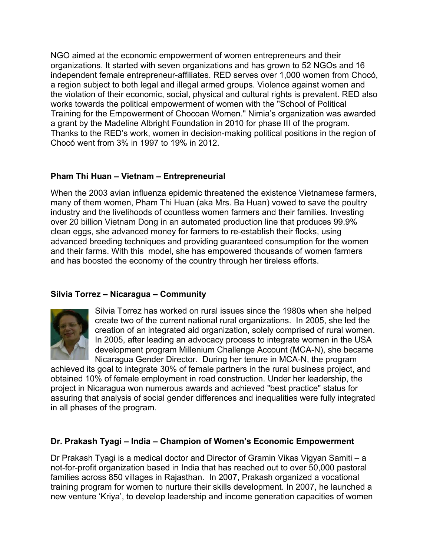NGO aimed at the economic empowerment of women entrepreneurs and their organizations. It started with seven organizations and has grown to 52 NGOs and 16 independent female entrepreneur-affiliates. RED serves over 1,000 women from Chocó, a region subject to both legal and illegal armed groups. Violence against women and the violation of their economic, social, physical and cultural rights is prevalent. RED also works towards the political empowerment of women with the "School of Political Training for the Empowerment of Chocoan Women." Nimia's organization was awarded a grant by the Madeline Albright Foundation in 2010 for phase III of the program. Thanks to the RED's work, women in decision-making political positions in the region of Chocó went from 3% in 1997 to 19% in 2012.

# **Pham Thi Huan – Vietnam – Entrepreneurial**

When the 2003 avian influenza epidemic threatened the existence Vietnamese farmers, many of them women, Pham Thi Huan (aka Mrs. Ba Huan) vowed to save the poultry industry and the livelihoods of countless women farmers and their families. Investing over 20 billion Vietnam Dong in an automated production line that produces 99.9% clean eggs, she advanced money for farmers to re-establish their flocks, using advanced breeding techniques and providing guaranteed consumption for the women and their farms. With this model, she has empowered thousands of women farmers and has boosted the economy of the country through her tireless efforts.

# **Silvia Torrez – Nicaragua – Community**

![](_page_39_Picture_4.jpeg)

Silvia Torrez has worked on rural issues since the 1980s when she helped create two of the current national rural organizations. In 2005, she led the creation of an integrated aid organization, solely comprised of rural women. In 2005, after leading an advocacy process to integrate women in the USA development program Millenium Challenge Account (MCA-N), she became Nicaragua Gender Director. During her tenure in MCA-N, the program

achieved its goal to integrate 30% of female partners in the rural business project, and obtained 10% of female employment in road construction. Under her leadership, the project in Nicaragua won numerous awards and achieved "best practice" status for assuring that analysis of social gender differences and inequalities were fully integrated in all phases of the program.

### **Dr. Prakash Tyagi – India – Champion of Women's Economic Empowerment**

Dr Prakash Tyagi is a medical doctor and Director of Gramin Vikas Vigyan Samiti – a not-for-profit organization based in India that has reached out to over 50,000 pastoral families across 850 villages in Rajasthan. In 2007, Prakash organized a vocational training program for women to nurture their skills development. In 2007, he launched a new venture 'Kriya', to develop leadership and income generation capacities of women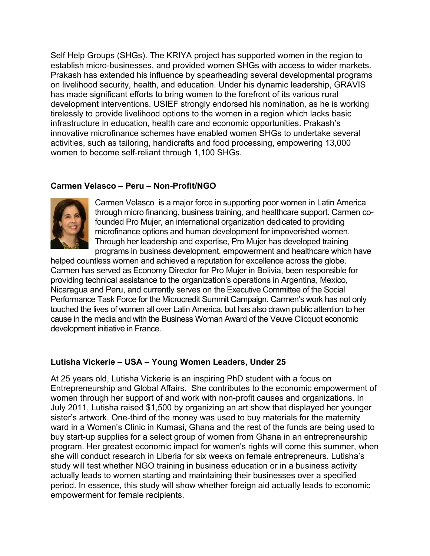Self Help Groups (SHGs). The KRIYA project has supported women in the region to establish micro-businesses, and provided women SHGs with access to wider markets. Prakash has extended his influence by spearheading several developmental programs on livelihood security, health, and education. Under his dynamic leadership, GRAVIS has made significant efforts to bring women to the forefront of its various rural development interventions. USIEF strongly endorsed his nomination, as he is working tirelessly to provide livelihood options to the women in a region which lacks basic infrastructure in education, health care and economic opportunities. Prakash's innovative microfinance schemes have enabled women SHGs to undertake several activities, such as tailoring, handicrafts and food processing, empowering 13,000 women to become self-reliant through 1,100 SHGs.

## **Carmen Velasco – Peru – Non-Profit/NGO**

![](_page_40_Picture_2.jpeg)

Carmen Velasco is a major force in supporting poor women in Latin America through micro financing, business training, and healthcare support. Carmen cofounded Pro Mujer, an international organization dedicated to providing microfinance options and human development for impoverished women. Through her leadership and expertise, Pro Mujer has developed training programs in business development, empowerment and healthcare which have

helped countless women and achieved a reputation for excellence across the globe. Carmen has served as Economy Director for Pro Mujer in Bolivia, been responsible for providing technical assistance to the organization's operations in Argentina, Mexico, Nicaragua and Peru, and currently serves on the Executive Committee of the Social Performance Task Force for the Microcredit Summit Campaign. Carmen's work has not only touched the lives of women all over Latin America, but has also drawn public attention to her cause in the media and with the Business Woman Award of the Veuve Clicquot economic development initiative in France.

### **Lutisha Vickerie – USA – Young Women Leaders, Under 25**

At 25 years old, Lutisha Vickerie is an inspiring PhD student with a focus on Entrepreneurship and Global Affairs. She contributes to the economic empowerment of women through her support of and work with non-profit causes and organizations. In July 2011, Lutisha raised \$1,500 by organizing an art show that displayed her younger sister's artwork. One-third of the money was used to buy materials for the maternity ward in a Women's Clinic in Kumasi, Ghana and the rest of the funds are being used to buy start-up supplies for a select group of women from Ghana in an entrepreneurship program. Her greatest economic impact for women's rights will come this summer, when she will conduct research in Liberia for six weeks on female entrepreneurs. Lutisha's study will test whether NGO training in business education or in a business activity actually leads to women starting and maintaining their businesses over a specified period. In essence, this study will show whether foreign aid actually leads to economic empowerment for female recipients.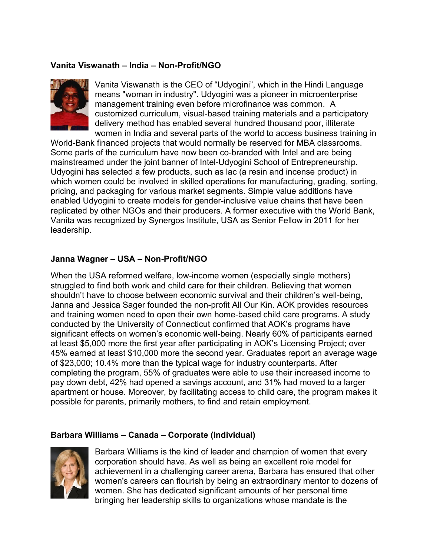### **Vanita Viswanath – India – Non-Profit/NGO**

![](_page_41_Picture_1.jpeg)

Vanita Viswanath is the CEO of "Udyogini", which in the Hindi Language means "woman in industry". Udyogini was a pioneer in microenterprise management training even before microfinance was common. A customized curriculum, visual-based training materials and a participatory delivery method has enabled several hundred thousand poor, illiterate women in India and several parts of the world to access business training in

World-Bank financed projects that would normally be reserved for MBA classrooms. Some parts of the curriculum have now been co-branded with Intel and are being mainstreamed under the joint banner of Intel-Udyogini School of Entrepreneurship. Udyogini has selected a few products, such as lac (a resin and incense product) in which women could be involved in skilled operations for manufacturing, grading, sorting, pricing, and packaging for various market segments. Simple value additions have enabled Udyogini to create models for gender-inclusive value chains that have been replicated by other NGOs and their producers. A former executive with the World Bank, Vanita was recognized by Synergos Institute, USA as Senior Fellow in 2011 for her leadership.

#### **Janna Wagner – USA – Non-Profit/NGO**

When the USA reformed welfare, low-income women (especially single mothers) struggled to find both work and child care for their children. Believing that women shouldn't have to choose between economic survival and their children's well-being, Janna and Jessica Sager founded the non-profit All Our Kin. AOK provides resources and training women need to open their own home-based child care programs. A study conducted by the University of Connecticut confirmed that AOK's programs have significant effects on women's economic well-being. Nearly 60% of participants earned at least \$5,000 more the first year after participating in AOK's Licensing Project; over 45% earned at least \$10,000 more the second year. Graduates report an average wage of \$23,000; 10.4% more than the typical wage for industry counterparts. After completing the program, 55% of graduates were able to use their increased income to pay down debt, 42% had opened a savings account, and 31% had moved to a larger apartment or house. Moreover, by facilitating access to child care, the program makes it possible for parents, primarily mothers, to find and retain employment.

#### **Barbara Williams – Canada – Corporate (Individual)**

![](_page_41_Picture_7.jpeg)

Barbara Williams is the kind of leader and champion of women that every corporation should have. As well as being an excellent role model for achievement in a challenging career arena, Barbara has ensured that other women's careers can flourish by being an extraordinary mentor to dozens of women. She has dedicated significant amounts of her personal time bringing her leadership skills to organizations whose mandate is the